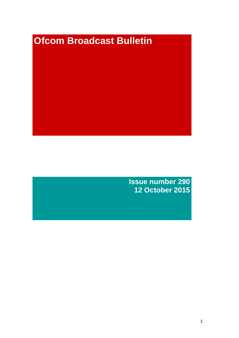# **Ofcom Broadcast Bulletin**

**Issue number 290 12 October 2015**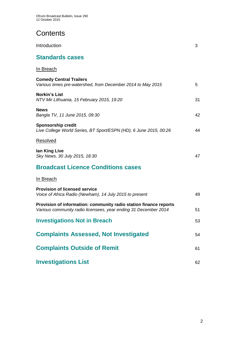# **Contents**

| Introduction                                                                                                                         | 3  |
|--------------------------------------------------------------------------------------------------------------------------------------|----|
| <b>Standards cases</b>                                                                                                               |    |
| <u>In Breach</u>                                                                                                                     |    |
| <b>Comedy Central Trailers</b><br>Various times pre-watershed, from December 2014 to May 2015                                        | 5  |
| <b>Norkin's List</b><br>NTV Mir Lithuania, 15 February 2015, 19:20                                                                   | 31 |
| <b>News</b><br>Bangla TV, 11 June 2015, 09:30                                                                                        | 42 |
| <b>Sponsorship credit</b><br>Live College World Series, BT Sport/ESPN (HD), 6 June 2015, 00:26                                       | 44 |
| Resolved                                                                                                                             |    |
| lan King Live<br>Sky News, 30 July 2015, 18:30                                                                                       | 47 |
| <b>Broadcast Licence Conditions cases</b>                                                                                            |    |
| <u>In Breach</u>                                                                                                                     |    |
| <b>Provision of licensed service</b><br>Voice of Africa Radio (Newham), 14 July 2015 to present                                      | 49 |
| Provision of information: community radio station finance reports<br>Various community radio licensees, year ending 31 December 2014 | 51 |
| <b>Investigations Not in Breach</b>                                                                                                  | 53 |
| <b>Complaints Assessed, Not Investigated</b>                                                                                         | 54 |
| <b>Complaints Outside of Remit</b>                                                                                                   | 61 |
| <b>Investigations List</b>                                                                                                           | 62 |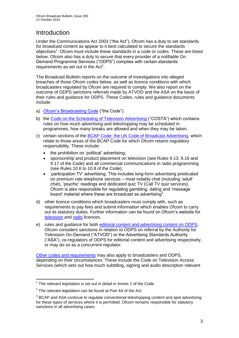# Introduction

Under the Communications Act 2003 ("the Act"), Ofcom has a duty to set standards for broadcast content as appear to it best calculated to secure the standards objectives<sup>1</sup>. Ofcom must include these standards in a code or codes. These are listed below. Ofcom also has a duty to secure that every provider of a notifiable On Demand Programme Services ("ODPS") complies with certain standards requirements as set out in the  $Act<sup>2</sup>$ .

The Broadcast Bulletin reports on the outcome of investigations into alleged breaches of those Ofcom codes below, as well as licence conditions with which broadcasters regulated by Ofcom are required to comply. We also report on the outcome of ODPS sanctions referrals made by ATVOD and the ASA on the basis of their rules and guidance for ODPS. These Codes, rules and guidance documents include:

- a) [Ofcom's Broadcasting Code](http://stakeholders.ofcom.org.uk/broadcasting/broadcast-codes/broadcast-code/) ("the Code").
- b) the [Code on the Scheduling of Television Advertising](http://stakeholders.ofcom.org.uk/broadcasting/broadcast-codes/advert-code/) ("COSTA") which contains rules on how much advertising and teleshopping may be scheduled in programmes, how many breaks are allowed and when they may be taken.
- c) certain sections of the [BCAP Code: the UK Code of Broadcast Advertising,](https://www.cap.org.uk/Advertising-Codes/Broadcast.aspx) which relate to those areas of the BCAP Code for which Ofcom retains regulatory responsibility. These include:
	- the prohibition on 'political' advertising;
	- sponsorship and product placement on television (see Rules 9.13, 9.16 and 9.17 of the Code) and all commercial communications in radio programming (see Rules 10.6 to 10.8 of the Code);
	- 'participation TV' advertising. This includes long-form advertising predicated on premium rate telephone services – most notably chat (including 'adult' chat), 'psychic' readings and dedicated quiz TV (Call TV quiz services). Ofcom is also responsible for regulating gambling, dating and 'message board' material where these are broadcast as advertising<sup>3</sup>.
- d) other licence conditions which broadcasters must comply with, such as requirements to pay fees and submit information which enables Ofcom to carry out its statutory duties. Further information can be found on Ofcom's website for [television](http://licensing.ofcom.org.uk/tv-broadcast-licences/) and [radio](http://licensing.ofcom.org.uk/radio-broadcast-licensing/) licences.
- e) rules and guidance for both [editorial content and advertising content on ODPS.](http://www.atvod.co.uk/uploads/files/ATVOD_Rules_and_Guidance_Ed_2.0_May_2012.pdf) Ofcom considers sanctions in relation to ODPS on referral by the Authority for Television On-Demand ("ATVOD") or the Advertising Standards Authority ("ASA"), co-regulators of ODPS for editorial content and advertising respectively, or may do so as a concurrent regulator.

[Other codes and requirements](http://stakeholders.ofcom.org.uk/broadcasting/broadcast-codes/) may also apply to broadcasters and ODPS, depending on their circumstances. These include the Code on Television Access Services (which sets out how much subtitling, signing and audio description relevant

<sup>1</sup>  $1$  The relevant legislation is set out in detail in Annex 1 of the Code.

 $2$  The relevant legislation can be found at Part 4A of the Act.

 $3$  BCAP and ASA continue to regulate conventional teleshopping content and spot advertising for these types of services where it is permitted. Ofcom remains responsible for statutory sanctions in all advertising cases.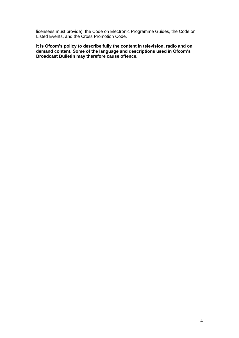licensees must provide), the Code on Electronic Programme Guides, the Code on Listed Events, and the Cross Promotion Code.

**It is Ofcom's policy to describe fully the content in television, radio and on demand content. Some of the language and descriptions used in Ofcom's Broadcast Bulletin may therefore cause offence.**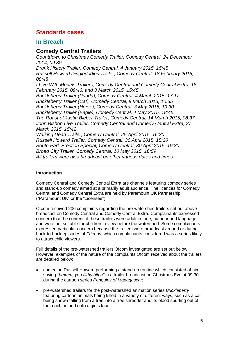# **Standards cases**

# **In Breach**

# **Comedy Central Trailers**

*Countdown to Christmas Comedy Trailer, Comedy Central, 24 December 2014, 09:30 Drunk History Trailer, Comedy Central, 4 January 2015, 15:45 Russell Howard Dingledodies Trailer, Comedy Central, 18 February 2015, 08:48 I Live With Models Trailers, Comedy Central and Comedy Central Extra, 18 February 2015, 09:46, and 3 March 2015, 15:45 Brickleberry Trailer (Panda), Comedy Central, 4 March 2015, 17:17 Brickleberry Trailer (Cat), Comedy Central, 8 March 2015, 10:35 Brickleberry Trailer (Horse), Comedy Central, 3 May 2015, 19:30 Brickleberry Trailer (Eagle), Comedy Central, 4 May 2015, 18:45 The Roast of Justin Bieber Trailer, Comedy Central, 14 March 2015, 08:37 John Bishop Live Trailer, Comedy Central and Comedy Central Extra, 27 March 2015, 15:42 Walking Dead Trailer, Comedy Central, 25 April 2015, 16:30 Russell Howard Trailer, Comedy Central, 30 April 2015, 15:30 South Park Erection Special, Comedy Central, 30 April 2015, 19:30 Broad City Trailer, Comedy Central, 10 May 2015, 16:59 All trailers were also broadcast on other various dates and times*

# **Introduction**

Comedy Central and Comedy Central Extra are channels featuring comedy series and stand-up comedy aimed at a primarily adult audience. The licences for Comedy Central and Comedy Central Extra are held by Paramount UK Partnership ("Paramount UK" or the "Licensee").

Ofcom received 206 complaints regarding the pre-watershed trailers set out above broadcast on Comedy Central and Comedy Central Extra. Complainants expressed concern that the content of these trailers were adult in tone, humour and language and were not suitable for children to view before the watershed. Some complainants expressed particular concern because the trailers were broadcast around or during back-to-back episodes of *Friends*, which complainants considered was a series likely to attract child viewers.

Full details of the pre-watershed trailers Ofcom investigated are set out below. However, examples of the nature of the complaints Ofcom received about the trailers are detailed below:

- comedian Russell Howard performing a stand-up routine which consisted of him saying *"hmmm, you filthy bitch"* in a trailer broadcast on Christmas Eve at 09:30 during the cartoon series *Penguins of Madagascar*;
- pre-watershed trailers for the post-watershed animation series *Brickleberry*  featuring cartoon animals being killed in a variety of different ways, such as a cat being shown falling from a tree into a tree shredder and its blood spurting out of the machine and onto a girl's face;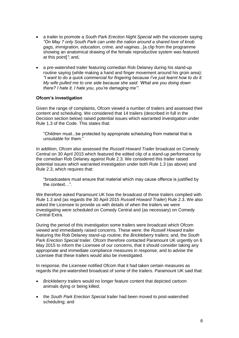- a trailer to promote a *South Park Erection Night Special* with the voiceover saying *"On May 7 only South Park can unite the nation around a shared love of knob gags, immigration, education, crime, and vaginas*...[a clip from the programme showing an anatomical drawing of the female reproductive system was featured at this point]*"*; and,
- a pre-watershed trailer featuring comedian Rob Delaney during his stand-up routine saying (while making a hand and finger movement around his groin area): *"I want to do a quick commercial for fingering because I've just learnt how to do it. My wife pulled me to one side because she said: 'What are you doing down there? I hate it, I hate you, you're damaging me'".*

# **Ofcom's investigation**

Given the range of complaints, Ofcom viewed a number of trailers and assessed their content and scheduling. We considered that 14 trailers (described in full in the Decision section below) raised potential issues which warranted investigation under Rule 1.3 of the Code. This states that:

"Children must...be protected by appropriate scheduling from material that is unsuitable for them."

In addition, Ofcom also assessed the *Russell Howard Trailer* broadcast on Comedy Central on 30 April 2015 which featured the edited clip of a stand-up performance by the comedian Rob Delaney against Rule 2.3. We considered this trailer raised potential issues which warranted investigation under both Rule 1.3 (as above) and Rule 2.3, which requires that:

"broadcasters must ensure that material which may cause offence is justified by the context…".

We therefore asked Paramount UK how the broadcast of these trailers complied with Rule 1.3 and (as regards the 30 April 2015 *Russell Howard Trailer*) Rule 2.3. We also asked the Licensee to provide us with details of when the trailers we were investigating were scheduled on Comedy Central and (as necessary) on Comedy Central Extra.

During the period of this investigation some trailers were broadcast which Ofcom viewed and immediately raised concerns. These were: the *Russell Howard trailer* featuring the Rob Delaney stand-up routine; the *Brickleberry* trailers; and, the *South Park Erection Special* trailer. Ofcom therefore contacted Paramount UK urgently on 6 May 2015 to inform the Licensee of our concerns, that it should consider taking any appropriate and immediate compliance measures in response, and to advise the Licensee that these trailers would also be investigated.

In response, the Licensee notified Ofcom that it had taken certain measures as regards the pre-watershed broadcast of some of the trailers. Paramount UK said that:

- *Brickleberry* trailers would no longer feature content that depicted cartoon animals dying or being killed;
- the *South Park Erection Special* trailer had been moved to post-watershed scheduling; and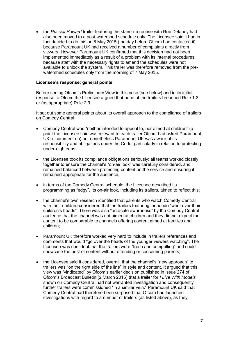the *Russell Howard* trailer featuring the stand-up routine with Rob Delaney had also been moved to a post-watershed schedule only. The Licensee said it had in fact decided to do this on 5 May 2015 (the day before Ofcom had contacted it) because Paramount UK had received a number of complaints directly from viewers. However Paramount UK confirmed that this decision had not been implemented immediately as a result of a problem with its internal procedures because staff with the necessary rights to amend the schedules were not available to unlock the system. This trailer was therefore removed from the prewatershed schedules only from the morning of 7 May 2015.

# **Licensee's response: general points**

Before seeing Ofcom's Preliminary View in this case (see below) and in its initial response to Ofcom the Licensee argued that none of the trailers breached Rule 1.3 or (as appropriate) Rule 2.3.

It set out some general points about its overall approach to the compliance of trailers on Comedy Central:

- Comedy Central was "neither intended to appeal to, nor aimed at children" (a point the Licensee said was relevant to each trailer Ofcom had asked Paramount UK to comment on) but nonetheless Paramount UK was aware of its responsibility and obligations under the Code, particularly in relation to protecting under-eighteens;
- the Licensee took its compliance obligations seriously: all teams worked closely together to ensure the channel's "on-air look" was carefully considered, and remained balanced between promoting content on the service and ensuring it remained appropriate for the audience;
- in terms of the Comedy Central schedule, the Licensee described its programming as "edgy". Its on-air look, including its trailers, aimed to reflect this;
- the channel's own research identified that parents who watch Comedy Central with their children considered that the trailers featuring innuendo "went over their children's heads". There was also "an acute awareness" by the Comedy Central audience that the channel was not aimed at children and they did not expect the content to be comparable to channels offering content aimed at families and children;
- Paramount UK therefore worked very hard to include in trailers references and comments that would "go over the heads of the younger viewers watching". The Licensee was confident that the trailers were "fresh and compelling" and could showcase the best of content without offending or concerning parents;
- the Licensee said it considered, overall, that the channel's "new approach" to trailers was "on the right side of the line" in style and content. It argued that this view was "vindicated" by Ofcom's earlier decision published in issue 274 of Ofcom's Broadcast Bulletin (2 March 2015) that a trailer for *I Live With Models* shown on Comedy Central had not warranted investigation and consequently further trailers were commissioned "in a similar vein." Paramount UK said that Comedy Central had therefore been surprised that Ofcom had launched investigations with regard to a number of trailers (as listed above), as they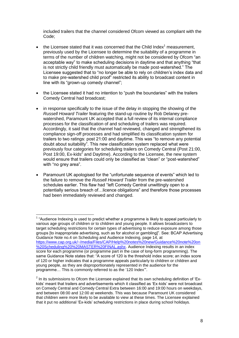included trailers that the channel considered Ofcom viewed as compliant with the Code;

- $\bullet$  the Licensee stated that it was concerned that the Child Index<sup>1</sup> measurement, previously used by the Licensee to determine the suitability of a programme in terms of the number of children watching, might not be considered by Ofcom "an acceptable way" to make scheduling decisions in daytime and that anything "that is not strictly child friendly must automatically be made post-watershed." The Licensee suggested that to "no longer be able to rely on children's index data and to make pre-watershed child proof" restricted its ability to broadcast content in line with its "grown-up comedy channel";
- the Licensee stated it had no intention to "push the boundaries" with the trailers Comedy Central had broadcast;
- in response specifically to the issue of the delay in stopping the showing of the *Russell Howard Trailer* featuring the stand-up routine by Rob Delaney prewatershed, Paramount UK accepted that a full review of its internal compliance processes for the classification of and scheduling of trailers was required. Accordingly, it said that the channel had reviewed, changed and strengthened its compliance sign-off processes and had simplified its classification system for trailers to two ratings: post 21:00 and daytime. This was "to remove any potential doubt about suitability". This new classification system replaced what were previously four categories for scheduling trailers on Comedy Central (Post 21:00, Post 19:00, Ex-kids<sup>2</sup> and Daytime). According to the Licensee, the new system would ensure that trailers could only be classified as "clean" or "post-watershed" with "no grey area".
- Paramount UK apologised for the "unfortunate sequence of events" which led to the failure to remove the *Russell Howard Trailer* from the pre-watershed schedules earlier. This flaw had "left Comedy Central unwittingly open to a potentially serious breach of…licence obligations" and therefore those processes had been immediately reviewed and changed.

 $1$  "Audience Indexing is used to predict whether a programme is likely to appeal particularly to various age groups of children or to children and young people. It allows broadcasters to target scheduling restrictions for certain types of advertising to reduce exposure among those groups [to inappropriate advertising, such as for alcohol or gambling]". See: BCAP Advertising Guidance Note no.4 on Scheduling and Audience Indexing, page 14, at [https://www.cap.org.uk/~/media/Files/CAP/Help%20notes%20new/Guidance%20note%20on](https://www.cap.org.uk/~/media/Files/CAP/Help%20notes%20new/Guidance%20note%20on%20Scheduling%20%20MASTER%20FINAL.ashx) [%20Scheduling%20%20MASTER%20FINAL.ashx.](https://www.cap.org.uk/~/media/Files/CAP/Help%20notes%20new/Guidance%20note%20on%20Scheduling%20%20MASTER%20FINAL.ashx) Audience Indexing results in an index score for each programme (or programme part in the case of long-form programming). The same Guidance Note states that: "A score of 120 is the threshold index score; an index score of 120 or higher indicates that a programme appeals particularly to children or children and young people, as they are disproportionately represented in the audience for the programme… This is commonly referred to as the '120 Index'".

 $2$  In its submissions to Ofcom the Licensee explained that its own scheduling definition of 'Exkids' meant that trailers and advertisements which it classified as 'Ex-kids' were not broadcast on Comedy Central and Comedy Central Extra between 16:00 and 19:00 hours on weekdays, and between 08:00 and 12:00 at weekends. This was because Paramount UK considered that children were more likely to be available to view at these times. The Licensee explained that it put no additional 'Ex-kids' scheduling restrictions in place during school holidays.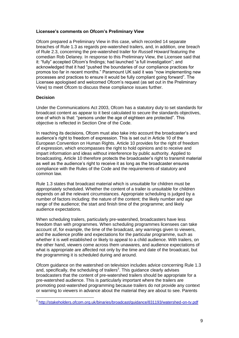# **Licensee's comments on Ofcom's Preliminary View**

Ofcom prepared a Preliminary View in this case, which recorded 14 separate breaches of Rule 1.3 as regards pre-watershed trailers, and, in addition, one breach of Rule 2.3, concerning the pre-watershed trailer for *Russell Howard* featuring the comedian Rob Delaney. In response to this Preliminary View, the Licensee said that it: "fully" accepted Ofcom's findings; had launched "a full investigation"; and acknowledged that it had "pushed the boundaries of our compliance practices for promos too far in recent months." Paramount UK said it was "now implementing new processes and practices to ensure it would be fully compliant going forward". The Licensee apologised and welcomed Ofcom's request (as set out in the Preliminary View) to meet Ofcom to discuss these compliance issues further.

# **Decision**

Under the Communications Act 2003, Ofcom has a statutory duty to set standards for broadcast content as appear to it best calculated to secure the standards objectives, one of which is that: "persons under the age of eighteen are protected". This objective is reflected in Section One of the Code.

In reaching its decisions, Ofcom must also take into account the broadcaster's and audience's right to freedom of expression. This is set out in Article 10 of the European Convention on Human Rights. Article 10 provides for the right of freedom of expression, which encompasses the right to hold opinions and to receive and impart information and ideas without interference by public authority. Applied to broadcasting, Article 10 therefore protects the broadcaster's right to transmit material as well as the audience's right to receive it as long as the broadcaster ensures compliance with the Rules of the Code and the requirements of statutory and common law.

Rule 1.3 states that broadcast material which is unsuitable for children must be appropriately scheduled. Whether the content of a trailer is unsuitable for children depends on all the relevant circumstances. Appropriate scheduling is judged by a number of factors including: the nature of the content; the likely number and age range of the audience; the start and finish time of the programme; and likely audience expectations.

When scheduling trailers, particularly pre-watershed, broadcasters have less freedom than with programmes. When scheduling programmes licensees can take account of, for example, the time of the broadcast, any warnings given to viewers, and the audience profile and expectations for the particular programme, such as whether it is well established or likely to appeal to a child audience. With trailers, on the other hand, viewers come across them unawares, and audience expectations of what is appropriate are affected not only by the time and date of the broadcast, but the programming it is scheduled during and around.

Ofcom guidance on the watershed on television includes advice concerning Rule 1.3 and, specifically, the scheduling of trailers<sup>3</sup>. This guidance clearly advises broadcasters that the content of pre-watershed trailers should be appropriate for a pre-watershed audience. This is particularly important where the trailers are promoting post-watershed programming because trailers do not provide any context or warning to viewers in advance about the material they are about to see. Parents

 3 <http://stakeholders.ofcom.org.uk/binaries/broadcast/guidance/831193/watershed-on-tv.pdf>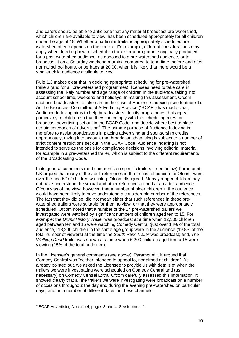and carers should be able to anticipate that any material broadcast pre-watershed, which children are available to view, has been scheduled appropriately for all children under the age of 15. Whether a particular trailer is appropriately scheduled prewatershed often depends on the context. For example, different considerations may apply when deciding how to schedule a trailer for a programme originally produced for a post-watershed audience, as opposed to a pre-watershed audience, or to broadcast it on a Saturday weekend morning compared to term time, before and after normal school hours, or perhaps at 20:00, when it is likely that there would be a smaller child audience available to view.

Rule 1.3 makes clear that in deciding appropriate scheduling for pre-watershed trailers (and for all pre-watershed programmes), licensees need to take care in assessing the likely number and age range of children in the audience, taking into account school time, weekend and holidays. In making this assessment, Ofcom cautions broadcasters to take care in their use of Audience Indexing (see footnote 1). As the Broadcast Committee of Advertising Practice ("BCAP") has made clear, Audience Indexing aims to help broadcasters identify programmes that appeal particularly to children so that they can comply with the scheduling rules for broadcast advertising set out in the BCAP Code, and decide where best to place certain categories of advertising<sup>4</sup>. The primary purpose of Audience Indexing is therefore to assist broadcasters in placing advertising and sponsorship credits appropriately, taking into account that broadcast advertising is subject to a number of strict content restrictions set out in the BCAP Code. Audience Indexing is not intended to serve as the basis for compliance decisions involving editorial material, for example in a pre-watershed trailer, which is subject to the different requirements of the Broadcasting Code.

In its general comments (and comments on specific trailers – see below) Paramount UK argued that many of the adult references in the trailers of concern to Ofcom "went over the heads" of children watching. Ofcom disagreed. Many younger children may not have understood the sexual and other references aimed at an adult audience. Ofcom was of the view, however, that a number of older children in the audience would have been likely to have understood a considerable number of the references. The fact that they did so, did not mean either that such references in these prewatershed trailers were suitable for them to view, or that they were appropriately scheduled. Ofcom noted that a number of the 14 pre-watershed trailers we investigated were watched by significant numbers of children aged ten to 15. For example: the *Drunk History Trailer* was broadcast at a time when 12,300 children aged between ten and 15 were watching Comedy Central (just over 14% of the total audience); 18,200 children in the same age group were in the audience (19.8% of the total number of viewers) at the time the *South Park Trailer* was broadcast; and, *The Walking Dead* trailer was shown at a time when 6,200 children aged ten to 15 were viewing (15% of the total audience).

In the Licensee's general comments (see above), Paramount UK argued that Comedy Central was "neither intended to appeal to, nor aimed at children". As already pointed out, we asked the Licensee to provide us with details of when the trailers we were investigating were scheduled on Comedy Central and (as necessary) on Comedy Central Extra. Ofcom carefully assessed this information. It showed clearly that all the trailers we were investigating were broadcast on a number of occasions throughout the day and during the evening pre-watershed on particular days, and on a number of different dates on these channels.

<sup>&</sup>lt;sup>4</sup> BCAP Advertising Note no.4, pages 3 and 4. See footnote 1.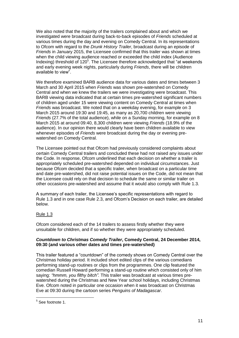We also noted that the majority of the trailers complained about and which we investigated were broadcast during back-to-back episodes of *Friends* scheduled at various times during the day and evening on Comedy Central. In its representations to Ofcom with regard to the *Drunk History Trailer*, broadcast during an episode of *Friends* in January 2015, the Licensee confirmed that this trailer was shown at times when the child viewing audience reached or exceeded the child index (Audience Indexing) threshold of 120<sup>5</sup>. The Licensee therefore acknowledged that "at weekends and early evening week nights, particularly during *Friends*, there will be children available to view".

We therefore examined BARB audience data for various dates and times between 3 March and 30 April 2015 when *Friends* was shown pre-watershed on Comedy Central and when we knew the trailers we were investigating were broadcast. This BARB viewing data indicated that at certain times pre-watershed significant numbers of children aged under 15 were viewing content on Comedy Central at times when *Friends* was broadcast. We noted that on a weekday evening, for example on 3 March 2015 around 19:30 and 19:45, as many as 20,700 children were viewing *Friends* (27.7% of the total audience), while on a Sunday morning, for example on 8 March 2015 at around 09:40, 8,300 children were viewing *Friends* (18.9% of the audience). In our opinion there would clearly have been children available to view whenever episodes of *Friends* were broadcast during the day or evening prewatershed on Comedy Central.

The Licensee pointed out that Ofcom had previously considered complaints about certain Comedy Central trailers and concluded these had not raised any issues under the Code. In response, Ofcom underlined that each decision on whether a trailer is appropriately scheduled pre-watershed depended on individual circumstances. Just because Ofcom decided that a specific trailer, when broadcast on a particular time and date pre-watershed, did not raise potential issues on the Code, did not mean that the Licensee could rely on that decision to schedule the same or similar trailer on other occasions pre-watershed and assume that it would also comply with Rule 1.3.

A summary of each trailer, the Licensee's specific representations with regard to Rule 1.3 and in one case Rule 2.3, and Ofcom's Decision on each trailer, are detailed below.

# Rule 1.3

Ofcom considered each of the 14 trailers to assess firstly whether they were unsuitable for children, and if so whether they were appropriately scheduled.

# *Countdown to Christmas Comedy Trailer***, Comedy Central, 24 December 2014, 09:30 (and various other dates and times pre-watershed)**

This trailer featured a "countdown" of the comedy shows on Comedy Central over the Christmas holiday period. It included short edited clips of the various comedians performing stand-up routines or clips from the programmes. One clip featured the comedian Russell Howard performing a stand-up routine which consisted only of him saying: *"hmmm, you filthy bitch".* This trailer was broadcast at various times prewatershed during the Christmas and New Year school holidays, including Christmas Eve. Ofcom noted in particular one occasion when it was broadcast on Christmas Eve at 09:30 during the cartoon series *Penguins of Madagascar*.

 5 See footnote 1.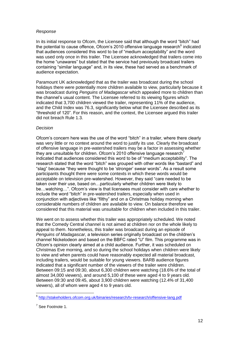#### *Response*

In its initial response to Ofcom, the Licensee said that although the word "bitch" had the potential to cause offence, Ofcom's 2010 offensive language research<sup>6</sup> indicated that audiences considered this word to be of "medium acceptability" and the word was used only once in this trailer. The Licensee acknowledged that trailers come into the home "unawares" but stated that the service had previously broadcast trailers containing "similar language" and, in its view, these had served as a benchmark of audience expectation.

Paramount UK acknowledged that as the trailer was broadcast during the school holidays there were potentially more children available to view, particularly because it was broadcast during *Penguins of Madagascar* which appealed more to children than the channel's usual content. The Licensee referred to its viewing figures which indicated that 3,700 children viewed the trailer, representing 11% of the audience, and the Child Index was 76.3, significantly below what the Licensee described as its "threshold of 120". For this reason, and the context, the Licensee argued this trailer did not breach Rule 1.3.

#### *Decision*

Ofcom's concern here was the use of the word "bitch" in a trailer, where there clearly was very little or no context around the word to justify its use. Clearly the broadcast of offensive language in pre-watershed trailers may be a factor in assessing whether they are unsuitable for children. Ofcom's 2010 offensive language research<sup>7</sup> indicated that audiences considered this word to be of "medium acceptability". The research stated that the word "bitch" was grouped with other words like "bastard" and "slag" because "they were thought to be 'stronger' swear words". As a result some participants thought there were some contexts in which these words would be acceptable on television pre-watershed. However, they said "care needed to be taken over their use, based on…particularly whether children were likely to be…watching…". Ofcom's view is that licensees must consider with care whether to include the word "bitch" in pre-watershed trailers, especially when used in conjunction with adjectives like "filthy" and on a Christmas holiday morning when considerable numbers of children are available to view. On balance therefore we considered that this material was unsuitable for children when included in this trailer.

We went on to assess whether this trailer was appropriately scheduled. We noted that the Comedy Central channel is not aimed at children nor on the whole likely to appeal to them. Nonetheless, this trailer was broadcast during an episode of *Penguins of Madagascar*, a television series originally broadcast on the children's channel Nickelodeon and based on the BBFC rated "U" film. This programme was in Ofcom's opinion clearly aimed at a child audience. Further, it was scheduled on Christmas Eve morning, and so during the school holidays when children were likely to view and when parents could have reasonably expected all material broadcast, including trailers, would be suitable for young viewers. BARB audience figures indicated that a significant number of the viewers of the trailer were children. Between 09:15 and 09:30, about 6,300 children were watching (18.6% of the total of almost 34,000 viewers), and around 5,100 of these were aged 4 to 9 years old. Between 09:30 and 09:45, about 3,900 children were watching (12.4% of 31,400 viewers), all of whom were aged 4 to 9 years old.

 6 <http://stakeholders.ofcom.org.uk/binaries/research/tv-research/offensive-lang.pdf>

<sup>&</sup>lt;sup>7</sup> See Footnote 1.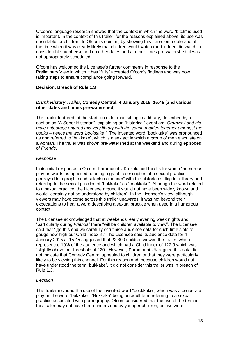Ofcom's language research showed that the context in which the word "bitch" is used is important. In the context of this trailer, for the reasons explained above, its use was unsuitable for children. In Ofcom's opinion, by showing this trailer on a date and at the time when it was clearly likely that children would watch (and indeed did watch in considerable numbers), and on other dates and at other times pre-watershed, it was not appropriately scheduled.

Ofcom has welcomed the Licensee's further comments in response to the Preliminary View in which it has "fully" accepted Ofcom's findings and was now taking steps to ensure compliance going forward.

# **Decision: Breach of Rule 1.3**

# *Drunk History Trailer,* **Comedy Central, 4 January 2015, 15:45 (and various other dates and times pre-watershed)**

This trailer featured, at the start, an older man sitting in a library, described by a caption as "A Sober Historian", explaining an "historical" event as: *"Cromwell and his male entourage entered this very library with the young maiden together amongst the books – hence the word 'bookkake'".* The invented word "bookkake" was pronounced as and referred to "bukkake", which is a sex act in which a group of men ejaculate on a woman. The trailer was shown pre-watershed at the weekend and during episodes of *Friends*.

# *Response*

In its initial response to Ofcom, Paramount UK explained this trailer was a "humorous play on words as opposed to being a graphic description of a sexual practice portrayed in a graphic and salacious manner" with the historian sitting in a library and referring to the sexual practice of "bukkake" as "bookkake". Although the word related to a sexual practice, the Licensee argued it would not have been widely known and would "certainly not be understood by children". In the Licensee's view, although viewers may have come across this trailer unawares, it was not beyond their expectations to hear a word describing a sexual practice when used in a humorous context.

The Licensee acknowledged that at weekends, early evening week nights and "particularly during *Friends*" there "will be children available to view". The Licensee said that "[t]o this end we carefully scrutinise audience data for such time slots to gauge how high our Child Index is." The Licensee said its audience data for 4 January 2015 at 15:45 suggested that 22,300 children viewed the trailer, which represented 19% of the audience and which had a Child Index of 122.9 which was "slightly above our threshold of 120". However, Paramount UK argued this data did not indicate that Comedy Central appealed to children or that they were particularly likely to be viewing this channel. For this reason and, because children would not have understood the term "bukkake", it did not consider this trailer was in breach of Rule 1.3.

# *Decision*

This trailer included the use of the invented word "bookkake", which was a deliberate play on the word "bukkake". "Bukkake" being an adult term referring to a sexual practice associated with pornography. Ofcom considered that the use of the term in this trailer may not have been understood by younger children, but we were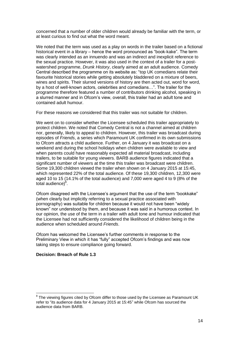concerned that a number of older children would already be familiar with the term, or at least curious to find out what the word meant.

We noted that the term was used as a play on words in the trailer based on a fictional historical event in a library – hence the word pronounced as "book-kake". The term was clearly intended as an innuendo and was an indirect and inexplicit reference to the sexual practice. However, it was also used in the context of a trailer for a postwatershed programme, *Drunk History*, clearly aimed at an adult audience. Comedy Central described the programme on its website as: "top UK comedians relate their favourite historical stories while getting absolutely bladdered on a mixture of beers, wines and spirits. Their slurred versions of history are then acted out, word for word, by a host of well-known actors, celebrities and comedians…". The trailer for the programme therefore featured a number of contributors drinking alcohol, speaking in a slurred manner and in Ofcom's view, overall, this trailer had an adult tone and contained adult humour.

For these reasons we considered that this trailer was not suitable for children.

We went on to consider whether the Licensee scheduled this trailer appropriately to protect children. We noted that Comedy Central is not a channel aimed at children nor, generally, likely to appeal to children. However, this trailer was broadcast during episodes of *Friends*, a series which Paramount UK confirmed in its own submissions to Ofcom attracts a child audience. Further, on 4 January it was broadcast on a weekend and during the school holidays when children were available to view and when parents could have reasonably expected all material broadcast, including trailers, to be suitable for young viewers. BARB audience figures indicated that a significant number of viewers at the time this trailer was broadcast were children. Some 19,300 children viewed the trailer when shown on 4 January 2015 at 15:45, which represented 22% of the total audience. Of these 19,300 children, 12,300 were aged 10 to 15 (14.1% of the total audience) and 7,000 were aged 4 to 9 (8% of the total audience)<sup>8</sup>.

Ofcom disagreed with the Licensee's argument that the use of the term "bookkake" (when clearly but implicitly referring to a sexual practice associated with pornography) was suitable for children because it would not have been "widely known" nor understood by them, and because it was said in a humorous context. In our opinion, the use of the term in a trailer with adult tone and humour indicated that the Licensee had not sufficiently considered the likelihood of children being in the audience when scheduled around *Friends*.

Ofcom has welcomed the Licensee's further comments in response to the Preliminary View in which it has "fully" accepted Ofcom's findings and was now taking steps to ensure compliance going forward.

# **Decision: Breach of Rule 1.3**

 $8$  The viewing figures cited by Ofcom differ to those used by the Licensee as Paramount UK refer to "its audience data for 4 January 2015 at 15:45" while Ofcom has sourced the audience data from BARB.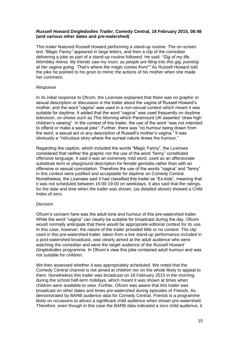### *Russell Howard Dingledodies Trailer***, Comedy Central, 18 February 2015, 08:48 (and various other dates and pre-watershed)**

This trailer featured Russell Howard performing a stand-up routine. The on-screen text *"Magic Fanny"* appeared in large letters, and then a clip of the comedian delivering a joke as part of a stand-up routine followed. He said: *"Gig of my life. Wembley Arena. My friends saw my mum, as people are filing into this gig, pointing at her vagina going, 'That's where the magic comes from!'"* As Russell Howard told the joke he pointed to his groin to mimic the actions of his mother when she made her comment.

# *Response*

In its initial response to Ofcom, the Licensee explained that there was no graphic or sexual description or discussion in the trailer about the vagina of Russell Howard's mother, and the word "vagina" was used in a non-sexual context which meant it was suitable for daytime. It added that the word "vagina" was used frequently on daytime television, on shows such as *This Morning* which Paramount UK asserted "draw high children's viewing". In the context of this trailer, the use of the word "was not intended to offend or make a sexual joke". Further, there was "no humour being drawn from the word, a sexual act or any description of Russell's mother's vagina." It was obviously a "ridiculous story where the surreal nature draws the humour."

Regarding the caption, which included the words "Magic Fanny", the Licensee considered that neither the graphic nor the use of the word "fanny" constituted offensive language. It said it was an extremely mild word, used as an affectionate substitute term or playground description for female genitalia rather than with an offensive or sexual connotation. Therefore the use of the words "vagina" and "fanny" in this context were justified and acceptable for daytime on Comedy Central. Nonetheless, the Licensee said it had classified this trailer as "Ex-kids", meaning that it was not scheduled between 16:00-19:00 on weekdays. It also said that the ratings, for the date and time when the trailer was shown, (as detailed above) showed a Child Index of zero.

#### *Decision*

Ofcom's concern here was the adult tone and humour of this pre-watershed trailer. While the word "vagina" can clearly be suitable for broadcast during the day, Ofcom would normally anticipate that there would be appropriate editorial context for its use. In this case, however, the nature of the trailer provided little or no context. The clip used in this pre-watershed trailer, taken from a live stand-up performance included in a post-watershed broadcast, was clearly aimed at the adult audience who were watching the comedian and were the target audience of the *Russell Howard Dingledodies* programme. In Ofcom's view this joke contained adult humour and was not suitable for children.

We then assessed whether it was appropriately scheduled. We noted that the Comedy Central channel is not aimed at children nor on the whole likely to appeal to them. Nonetheless this trailer was broadcast on 18 February 2015 in the morning during the school half-term holidays, which meant it was shown at times when children were available to view. Further, Ofcom was aware that this trailer was broadcast on other dates and times pre-watershed during episodes of *Friends.* As demonstrated by BARB audience data for Comedy Central, *Friends* is a programme likely on occasions to attract a significant child audience when shown pre-watershed. Therefore, even though in this case the BARB data indicated a zero child audience, it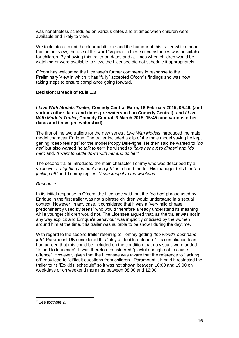was nonetheless scheduled on various dates and at times when children were available and likely to view.

We took into account the clear adult tone and the humour of this trailer which meant that, in our view, the use of the word "vagina" in these circumstances was unsuitable for children. By showing this trailer on dates and at times when children would be watching or were available to view, the Licensee did not schedule it appropriately.

Ofcom has welcomed the Licensee's further comments in response to the Preliminary View in which it has "fully" accepted Ofcom's findings and was now taking steps to ensure compliance going forward.

# **Decision: Breach of Rule 1.3**

#### *I Live With Models Trailer,* **Comedy Central Extra, 18 February 2015, 09:46, (and various other dates and times pre-watershed on Comedy Central); and** *I Live With Models Trailer***, Comedy Central, 3 March 2015, 15:45 (and various other dates and times pre-watershed)**

The first of the two trailers for the new series *I Live With Models* introduced the male model character Enrique. The trailer included a clip of the male model saying he kept getting "deep feelings" for the model Poppy Delevigne. He then said he wanted to *"do her"* but also wanted *"to talk to her"*; he wished to *"take her out to dinner"* and *"do her"*; and, *"I want to settle down with her and do her".* 

The second trailer introduced the main character Tommy who was described by a voiceover as *"getting the best hand job"* as a hand model. His manager tells him *"no jacking off"* and Tommy replies, *"I can keep it to the weekend"*.

#### *Response*

In its initial response to Ofcom, the Licensee said that the *"do her"* phrase used by Enrique in the first trailer was not a phrase children would understand in a sexual context. However, in any case, it considered that it was a "very mild phrase predominantly used by teens" who would therefore already understand its meaning while younger children would not. The Licensee argued that, as the trailer was not in any way explicit and Enrique's behaviour was implicitly criticised by the women around him at the time, this trailer was suitable to be shown during the daytime.

With regard to the second trailer referring to Tommy getting *"the world's best hand job"*, Paramount UK considered this "playful double entendre". Its compliance team had agreed that this could be included on the condition that no visuals were added "to add to innuendo". It was therefore considered "playful enough not to cause offence". However, given that the Licensee was aware that the reference to "jacking off" may lead to "difficult questions from children", Paramount UK said it restricted the trailer to its 'Ex-kids' schedule<sup>9</sup> so it was not shown between 16:00 and 19:00 on weekdays or on weekend mornings between 08:00 and 12:00.

 9 See footnote 2.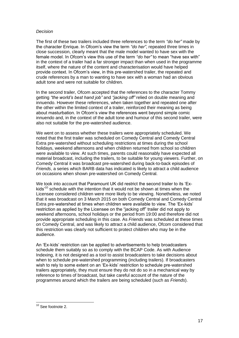#### *Decision*

The first of these two trailers included three references to the term *"do her"* made by the character Enrique. In Ofcom's view the term *"do her"*, repeated three times in close succession, clearly meant that the male model wanted to have sex with the female model. In Ofcom's view this use of the term *"do her"* to mean "have sex with" in the context of a trailer had a far stronger impact than when used in the programme itself, where the nature of the content and characterisation would have helped provide context. In Ofcom's view, in this pre-watershed trailer, the repeated and crude references by a man to wanting to have sex with a woman had an obvious adult tone and were not suitable for children.

In the second trailer, Ofcom accepted that the references to the character Tommy getting *"the world's best hand job"* and *"jacking off"* relied on double meaning and innuendo. However these references, when taken together and repeated one after the other within the limited context of a trailer, reinforced their meaning as being about masturbation. In Ofcom's view the references went beyond simple comic innuendo and, in the context of the adult tone and humour of this second trailer, were also not suitable for the pre-watershed audience.

We went on to assess whether these trailers were appropriately scheduled. We noted that the first trailer was scheduled on Comedy Central and Comedy Central Extra pre-watershed without scheduling restrictions at times during the school holidays, weekend afternoons and when children returned from school so children were available to view. At such times, parents could reasonably have expected all material broadcast, including the trailers, to be suitable for young viewers. Further, on Comedy Central it was broadcast pre-watershed during back-to-back episodes of *Friends*, a series which BARB data has indicated is likely to attract a child audience on occasions when shown pre-watershed on Comedy Central.

We took into account that Paramount UK did restrict the second trailer to its 'Exkids<sup>'10</sup> schedule with the intention that it would not be shown at times when the Licensee considered children were more likely to be viewing. Nonetheless, we noted that it was broadcast on 3 March 2015 on both Comedy Central and Comedy Central Extra pre-watershed at times when children were available to view. The 'Ex-kids' restriction as applied by the Licensee on the "jacking off" trailer did not apply to weekend afternoons, school holidays or the period from 19:00 and therefore did not provide appropriate scheduling in this case. As *Friends* was scheduled at these times on Comedy Central, and was likely to attract a child audience, Ofcom considered that this restriction was clearly not sufficient to protect children who may be in the audience.

An 'Ex-kids' restriction can be applied to advertisements to help broadcasters schedule them suitably so as to comply with the BCAP Code. As with Audience Indexing, it is not designed as a tool to assist broadcasters to take decisions about when to schedule pre-watershed programming (including trailers). If broadcasters wish to rely to some extent on an 'Ex-kids' restriction to schedule pre-watershed trailers appropriately, they must ensure they do not do so in a mechanical way by reference to times of broadcast, but take careful account of the nature of the programmes around which the trailers are being scheduled (such as *Friends*).

<sup>&</sup>lt;sup>10</sup> See footnote 2.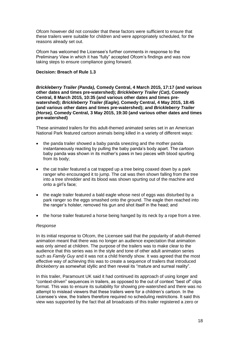Ofcom however did not consider that these factors were sufficient to ensure that these trailers were suitable for children and were appropriately scheduled, for the reasons already set out.

Ofcom has welcomed the Licensee's further comments in response to the Preliminary View in which it has "fully" accepted Ofcom's findings and was now taking steps to ensure compliance going forward.

### **Decision: Breach of Rule 1.3**

*Brickleberry Trailer (Panda),* **Comedy Central, 4 March 2015, 17:17 (and various other dates and times pre-watershed);** *Brickleberry Trailer (Cat)***, Comedy Central, 8 March 2015, 10:35 (and various other dates and times prewatershed);** *Brickleberry Trailer (Eagle),* **Comedy Central, 4 May 2015, 18:45 (and various other dates and times pre-watershed); and** *Brickleberry Trailer (Horse),* **Comedy Central, 3 May 2015, 19:30 (and various other dates and times pre-watershed)**

These animated trailers for this adult-themed animated series set in an American National Park featured cartoon animals being killed in a variety of different ways:

- the panda trailer showed a baby panda sneezing and the mother panda instantaneously reacting by pulling the baby panda's body apart. The cartoon baby panda was shown in its mother's paws in two pieces with blood spurting from its body;
- the cat trailer featured a cat trapped up a tree being coaxed down by a park ranger who encouraged it to jump. The cat was then shown falling from the tree into a tree shredder and its blood was shown spurting out of the machine and onto a girl's face;
- the eagle trailer featured a bald eagle whose nest of eggs was disturbed by a park ranger so the eggs smashed onto the ground. The eagle then reached into the ranger's holster, removed his gun and shot itself in the head; and
- the horse trailer featured a horse being hanged by its neck by a rope from a tree.

#### *Response*

In its initial response to Ofcom, the Licensee said that the popularity of adult-themed animation meant that there was no longer an audience expectation that animation was only aimed at children. The purpose of the trailers was to make clear to the audience that this series was in the style and tone of other adult animation series such as *Family Guy* and it was not a child friendly show. It was agreed that the most effective way of achieving this was to create a sequence of trailers that introduced *Brickeberry* as somewhat idyllic and then reveal its "mature and surreal reality".

In this trailer, Paramount UK said it had continued its approach of using longer and "context-driven" sequences in trailers, as opposed to the out of context "best of" clips format. This was to ensure its suitability for showing pre-watershed and there was no attempt to mislead viewers that these trailers were for a children's cartoon. In the Licensee's view, the trailers therefore required no scheduling restrictions. It said this view was supported by the fact that all broadcasts of this trailer registered a zero or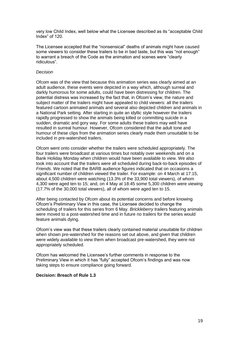very low Child Index, well below what the Licensee described as its "acceptable Child Index" of 120.

The Licensee accepted that the "nonsensical" deaths of animals might have caused some viewers to consider these trailers to be in bad taste, but this was "not enough" to warrant a breach of the Code as the animation and scenes were "clearly ridiculous".

#### *Decision*

Ofcom was of the view that because this animation series was clearly aimed at an adult audience, these events were depicted in a way which, although surreal and darkly humorous for some adults, could have been distressing for children. The potential distress was increased by the fact that, in Ofcom's view, the nature and subject matter of the trailers might have appealed to child viewers: all the trailers featured cartoon animated animals and several also depicted children and animals in a National Park setting. After starting in quite an idyllic style however the trailers rapidly progressed to show the animals being killed or committing suicide in a sudden, dramatic and gory way. For some adults these trailers may well have resulted in surreal humour. However, Ofcom considered that the adult tone and humour of these clips from the animation series clearly made them unsuitable to be included in pre-watershed trailers.

Ofcom went onto consider whether the trailers were scheduled appropriately. The four trailers were broadcast at various times but notably over weekends and on a Bank Holiday Monday when children would have been available to view. We also took into account that the trailers were all scheduled during back-to-back episodes of *Friends*. We noted that the BARB audience figures indicated that on occasions a significant number of children viewed the trailer. For example: on 4 March at 17:15, about 4,500 children were watching (13.3% of the 33,900 total viewers), of whom 4,300 were aged ten to 15; and, on 4 May at 18:45 some 5,300 children were viewing (17.7% of the 30,000 total viewers), all of whom were aged ten to 15.

After being contacted by Ofcom about its potential concerns and before knowing Ofcom's Preliminary View in this case, the Licensee decided to change the scheduling of trailers for this series from 6 May. *Brickleberry* trailers featuring animals were moved to a post-watershed time and in future no trailers for the series would feature animals dying.

Ofcom's view was that these trailers clearly contained material unsuitable for children when shown pre-watershed for the reasons set out above, and given that children were widely available to view them when broadcast pre-watershed, they were not appropriately scheduled.

Ofcom has welcomed the Licensee's further comments in response to the Preliminary View in which it has "fully" accepted Ofcom's findings and was now taking steps to ensure compliance going forward.

# **Decision: Breach of Rule 1.3**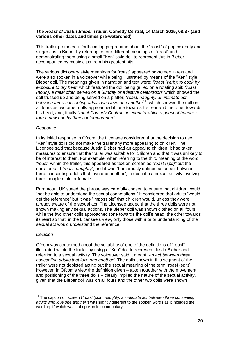### *The Roast of Justin Bieber Trailer,* **Comedy Central, 14 March 2015, 08:37 (and various other dates and times pre-watershed)**

This trailer promoted a forthcoming programme about the "roast" of pop celebrity and singer Justin Bieber by referring to four different meanings of "roast" and demonstrating them using a small "Ken" style doll to represent Justin Bieber, accompanied by music clips from his greatest hits.

The various dictionary style meanings for "roast" appeared on-screen in text and were also spoken in a voiceover while being illustrated by means of the "Ken" style Bieber doll. The meanings given in narration and text were: *"roast (verb): to cook by exposure to dry heat"* which featured the doll being grilled on a rotating spit; *"roast (noun): a meal often served on a Sunday or a festive celebration"* which showed the doll trussed up and being served on a platter; *"roast, naughty: an intimate act between three consenting adults who love one another*<sup>11</sup>*"* which showed the doll on all fours as two other dolls approached it, one towards his rear and the other towards his head; and, finally *"roast Comedy Central: an event in which a guest of honour is torn a new one by their contemporaries"*.

#### *Response*

In its initial response to Ofcom, the Licensee considered that the decision to use "Ken" style dolls did not make the trailer any more appealing to children. The Licensee said that because Justin Bieber had an appeal to children, it had taken measures to ensure that the trailer was suitable for children and that it was unlikely to be of interest to them. For example, when referring to the third meaning of the word *"roast"* within the trailer, this appeared as text on-screen as *"roast (spit)"* but the narrator said *"roast, naughty"*, and it was "humorously defined as an act between three consenting adults that love one another", to describe a sexual activity involving three people male or female.

Paramount UK stated the phrase was carefully chosen to ensure that children would "not be able to understand the sexual connotations." It considered that adults "would get the reference" but it was "impossible" that children would, unless they were already aware of the sexual act. The Licensee added that the three dolls were not shown making any sexual actions. The Bieber doll was shown clothed on all fours while the two other dolls approached (one towards the doll's head, the other towards its rear) so that, in the Licensee's view, only those with a prior understanding of the sexual act would understand the reference.

# *Decision*

1

Ofcom was concerned about the suitability of one of the definitions of "roast" illustrated within the trailer by using a "Ken" doll to represent Justin Bieber and referring to a sexual activity. The voiceover said it meant *"an act between three consenting adults that love one another"*. The dolls shown in this segment of the trailer were not depicted acting out the sexual meaning of the term "roast (spit)". However, in Ofcom's view the definition given – taken together with the movement and positioning of the three dolls – clearly implied the nature of the sexual activity, given that the Bieber doll was on all fours and the other two dolls were shown

<sup>&</sup>lt;sup>11</sup> The caption on screen ("roast (spit): naughty, an intimate act between three consenting *adults who love one another"*) was slightly different to the spoken words as it included the word "spit" which was not spoken in commentary.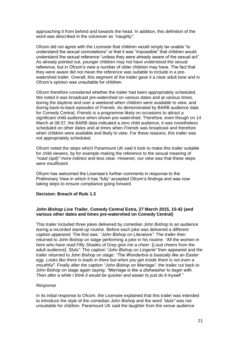approaching it from behind and towards the head. In addition, this definition of the word was described in the voiceover as *"naughty"*.

Ofcom did not agree with the Licensee that children would simply be unable "to understand the sexual connotations" or that it was "impossible" that children would understand the sexual reference "unless they were already aware of the sexual act". As already pointed out, younger children may not have understood the sexual reference, but in Ofcom's view a number of older children may have. The fact that they were aware did not mean the reference was suitable to include in a prewatershed trailer. Overall, this segment of the trailer gave it a clear adult tone and in Ofcom's opinion was unsuitable for children.

Ofcom therefore considered whether the trailer had been appropriately scheduled. We noted it was broadcast pre-watershed on various dates and at various times, during the daytime and over a weekend when children were available to view, and during back-to-back episodes of *Friends*. As demonstrated by BARB audience data for Comedy Central, *Friends* is a programme likely on occasions to attract a significant child audience when shown pre-watershed. Therefore, even though on 14 March at 08:37, the BARB data indicated a zero child audience, it was nonetheless scheduled on other dates and at times when *Friends* was broadcast and therefore when children were available and likely to view. For these reasons, this trailer was not appropriately scheduled.

Ofcom noted the steps which Paramount UK said it took to make this trailer suitable for child viewers, by for example making the reference to the sexual meaning of *"roast (spit)"* more indirect and less clear. However, our view was that these steps were insufficient.

Ofcom has welcomed the Licensee's further comments in response to the Preliminary View in which it has "fully" accepted Ofcom's findings and was now taking steps to ensure compliance going forward.

#### **Decision: Breach of Rule 1.3**

# *John Bishop Live Trailer,* **Comedy Central Extra, 27 March 2015, 15:42 (and various other dates and times pre-watershed on Comedy Central)**

This trailer included three jokes delivered by comedian John Bishop to an audience during a recorded stand-up routine. Before each joke was delivered a different caption appeared. The first was: *"John Bishop on Literature".* The trailer then returned to John Bishop on stage performing a joke in his routine: *"All the women in here who have read Fifty Shades of Grey give me a cheer.* [Loud cheers from the adult audience]. *Sluts"*. The caption *"John Bishop on Lingerie"* then appeared and the trailer returned to John Bishop on stage: *"The Wonderbra is basically like an Easter egg. Looks like there is loads in there but when you get inside there is not even a mouthful"*. Finally after the caption *"John Bishop on Marriage"*, the trailer cut back to John Bishop on stage again saying*: "Marriage is like a dishwasher to begin with. Then after a while I think it would be quicker and easier to just do it myself."*

#### *Response*

In its initial response to Ofcom, the Licensee explained that this trailer was intended to introduce the style of the comedian John Bishop and the word *"sluts"* was not unsuitable for children. Paramount UK said the laughter from the venue audience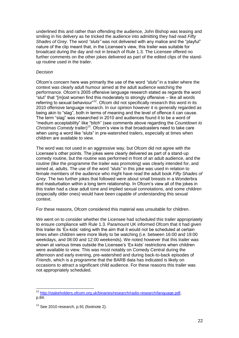underlined this and rather than offending the audience, John Bishop was teasing and smiling in his delivery as he tricked the audience into admitting they had read *Fifty Shades of Grey*. The word *"sluts"* was not delivered with any malice and the "playful" nature of the clip meant that, in the Licensee's view, this trailer was suitable for broadcast during the day and not in breach of Rule 1.3. The Licensee offered no further comments on the other jokes delivered as part of the edited clips of the standup routine used in the trailer.

#### *Decision*

Ofcom's concern here was primarily the use of the word *"sluts"* in a trailer where the context was clearly adult humour aimed at the adult audience watching the performance. Ofcom's 2005 offensive language research stated as regards the word "slut" that "[m]ost women find this moderately to strongly offensive – like all words referring to sexual behaviour"<sup>12</sup>. Ofcom did not specifically research this word in its 2010 offensive language research. In our opinion however it is generally regarded as being akin to "slag", both in terms of meaning and the level of offence it can cause. The term "slag" was researched in 2010 and audiences found it to be a word of "medium acceptability" like "bitch" (see comments above regarding the *Countdown to Christmas Comedy* trailer)<sup>13</sup>. Ofcom's view is that broadcasters need to take care when using a word like "sluts" in pre-watershed trailers, especially at times when children are available to view.

The word was not used in an aggressive way, but Ofcom did not agree with the Licensee's other points. The jokes were clearly delivered as part of a stand-up comedy routine, but the routine was performed in front of an adult audience, and the routine (like the programme the trailer was promoting) was clearly intended for, and aimed at, adults. The use of the word *"sluts"* in this joke was used in relation to female members of the audience who might have read the adult book *Fifty Shades of Grey*. The two further jokes that followed were about small breasts in a Wonderbra and masturbation within a long term relationship. In Ofcom's view all of the jokes in this trailer had a clear adult tone and implied sexual connotations, and some children (especially older ones) would have been capable of understanding this sexual context.

For these reasons, Ofcom considered this material was unsuitable for children.

We went on to consider whether the Licensee had scheduled this trailer appropriately to ensure compliance with Rule 1.3. Paramount UK informed Ofcom that it had given this trailer its 'Ex-kids' rating with the aim that it would not be scheduled at certain times when children were more likely to be watching (i.e. between 16:00 and 19:00 weekdays, and 08:00 and 12:00 weekends). We noted however that this trailer was shown at various times outside the Licensee's 'Ex-kids' restrictions when children were available to view. This was most notably on Comedy Central during the afternoon and early evening, pre-watershed and during back-to-back episodes of *Friends*, which is a programme that the BARB data has indicated is likely on occasions to attract a significant child audience. For these reasons this trailer was not appropriately scheduled.

<sup>&</sup>lt;sup>12</sup> [http://stakeholders.ofcom.org.uk/binaries/research/radio-research/language.pdf,](http://stakeholders.ofcom.org.uk/binaries/research/radio-research/language.pdf) p.84.

 $13$  See 2010 research, p.91 (footnote 2).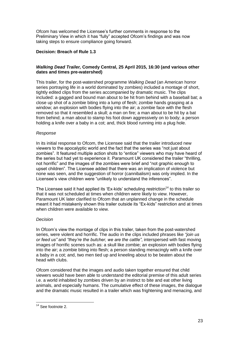Ofcom has welcomed the Licensee's further comments in response to the Preliminary View in which it has "fully" accepted Ofcom's findings and was now taking steps to ensure compliance going forward.

# **Decision: Breach of Rule 1.3**

# *Walking Dead Trailer,* **Comedy Central, 25 April 2015, 16:30 (and various other dates and times pre-watershed)**

This trailer, for the post-watershed programme *Walking Dead* (an American horror series portraying life in a world dominated by zombies) included a montage of short, tightly edited clips from the series accompanied by dramatic music. The clips included: a gagged and bound man about to be hit from behind with a baseball bat; a close up shot of a zombie biting into a lump of flesh; zombie hands grasping at a window; an explosion with bodies flying into the air; a zombie face with the flesh removed so that it resembled a skull; a man on fire; a man about to be hit by a bat from behind; a man about to stamp his foot down aggressively on to body; a person holding a knife over a baby in a cot; and, thick blood running into a plug hole.

# *Response*

In its initial response to Ofcom, the Licensee said that the trailer introduced new viewers to the apocalyptic world and the fact that the series was "not just about zombies". It featured multiple action shots to "entice" viewers who may have heard of the series but had yet to experience it. Paramount UK considered the trailer "thrilling, not horrific" and the images of the zombies were brief and "not graphic enough to upset children". The Licensee added that there was an implication of violence but none was seen, and the suggestion of horror (cannibalism) was only implied. In the Licensee's view children were "unlikely to understand the inferences".

The Licensee said it had applied its 'Ex-kids' scheduling restriction<sup>14</sup> to this trailer so that it was not scheduled at times when children were likely to view. However, Paramount UK later clarified to Ofcom that an unplanned change in the schedule meant it had mistakenly shown this trailer outside its "Ex-kids" restriction and at times when children were available to view.

# *Decision*

In Ofcom's view the montage of clips in this trailer, taken from the post-watershed series, were violent and horrific. The audio in the clips included phrases like *"join us or feed us"* and *"they're the butcher, we are the cattle"*, interspersed with fast moving images of horrific scenes such as: a skull like zombie; an explosion with bodies flying into the air; a zombie biting into flesh; a person standing menacingly with a knife over a baby in a cot; and, two men tied up and kneeling about to be beaten about the head with clubs.

Ofcom considered that the images and audio taken together ensured that child viewers would have been able to understand the editorial premise of this adult series i.e. a world inhabited by zombies driven by an instinct to bite and eat other living animals, and especially humans. The cumulative effect of these images, the dialogue and the dramatic music resulted in a trailer which was frightening and menacing, and

<sup>1</sup> <sup>14</sup> See footnote 2.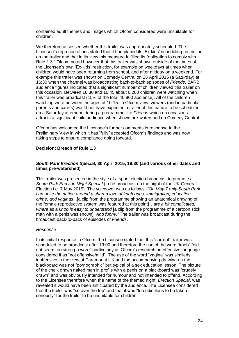contained adult themes and images which Ofcom considered were unsuitable for children.

We therefore assessed whether this trailer was appropriately scheduled. The Licensee's representations stated that it had placed its 'Ex kids' scheduling restriction on the trailer and that in its view this measure fulfilled its "obligation to comply with Rule 1.3." Ofcom noted however that this trailer was shown outside of the times of the Licensee's own 'Ex-kids' restriction, for example on weekdays at times when children would have been returning from school, and after midday on a weekend. For example this trailer was shown on Comedy Central on 25 April 2015 (a Saturday) at 16:30 when the channel was broadcasting back-to-back episodes of *Friends*. BARB audience figures indicated that a significant number of children viewed this trailer on this occasion. Between 16:30 and 16:45 about 6,200 children were watching when this trailer was broadcast (15% of the total 40,900 audience). All of the children watching were between the ages of 10-15. In Ofcom view, viewers (and in particular parents and carers) would not have expected a trailer of this nature to be scheduled on a Saturday afternoon during a programme like *Friends* which on occasions attracts a significant child audience when shown pre-watershed on Comedy Central.

Ofcom has welcomed the Licensee's further comments in response to the Preliminary View in which it has "fully" accepted Ofcom's findings and was now taking steps to ensure compliance going forward.

#### **Decision: Breach of Rule 1.3**

#### *South Park Erection Special,* **30 April 2015, 19:30 (and various other dates and times pre-watershed)**

This trailer was presented in the style of a spoof election broadcast to promote a *South Park Erection Night Special* (to be broadcast on the night of the UK General Election i.e. 7 May 2015). The voiceover was as follows: *"On May 7 only South Park can unite the nation around a shared love of knob gags, immigration, education, crime, and vaginas*...[a clip from the programme showing an anatomical drawing of the female reproductive system was featured at this point]*…are a bit complicated, where as a knob is easy to understand* [a clip from the programme of a cartoon stick man with a penis was shown]*. And funny."* The trailer was broadcast during the broadcast back-to-back of episodes of *Friends*.

#### *Response*

In its initial response to Ofcom, the Licensee stated that this "surreal" trailer was scheduled to be broadcast after 19:00 and therefore the use of the word "knob" "did not seem too strong a word" particularly as Ofcom's research on offensive language considered it as "not offensive/mild". The use of the word "vagina" was similarly inoffensive in the view of Paramount UK and the accompanying drawing on the blackboard was not "pornographic" but typical of a sex education lesson. The picture of the chalk drawn naked man in profile with a penis on a blackboard was "crudely drawn" and was obviously intended for humour and not intended to offend. According to the Licensee therefore when the name of the themed night, *Erection Special*, was revealed it would have been anticipated by the audience. The Licensee considered that the trailer was "so over the top" and that it was "too ridiculous to be taken seriously" for the trailer to be unsuitable for children.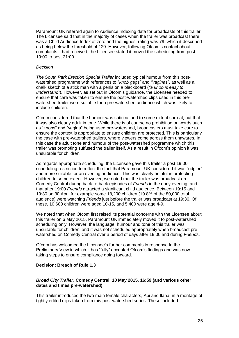Paramount UK referred again to Audience Indexing data for broadcasts of this trailer. The Licensee said that in the majority of cases when the trailer was broadcast there was a Child Audience Index of zero and the highest rating was 79, which it described as being below the threshold of 120. However, following Ofcom's contact about complaints it had received, the Licensee stated it moved the scheduling from post 19:00 to post 21:00.

#### *Decision*

*The South Park Erection Special Trailer* included typical humour from this postwatershed programme with references to *"knob gags"* and *"vaginas"*, as well as a chalk sketch of a stick man with a penis on a blackboard (*"a knob is easy to understand"*). However, as set out in Ofcom's guidance, the Licensee needed to ensure that care was taken to ensure the post-watershed clips used in this prewatershed trailer were suitable for a pre-watershed audience which was likely to include children.

Ofcom considered that the humour was satirical and to some extent surreal, but that it was also clearly adult in tone. While there is of course no prohibition on words such as "knobs" and "vagina" being used pre-watershed, broadcasters must take care to ensure the context is appropriate to ensure children are protected. This is particularly the case with pre-watershed trailers, where viewers come across them unawares. In this case the adult tone and humour of the post-watershed programme which this trailer was promoting suffused the trailer itself. As a result in Ofcom's opinion it was unsuitable for children.

As regards appropriate scheduling, the Licensee gave this trailer a post 19:00 scheduling restriction to reflect the fact that Paramount UK considered it was "edgier" and more suitable for an evening audience. This was clearly helpful in protecting children to some extent. However, we noted that the trailer was broadcast on Comedy Central during back-to-back episodes of *Friends* in the early evening, and that after 19:00 *Friends* attracted a significant child audience. Between 19:15 and 19:30 on 30 April for example some 18,200 children (19.8% of the 80,000 total audience) were watching *Friends* just before the trailer was broadcast at 19:30. Of these, 10,600 children were aged 10-15, and 5,400 were age 4-9.

We noted that when Ofcom first raised its potential concerns with the Licensee about this trailer on 6 May 2015, Paramount UK immediately moved it to post-watershed scheduling only. However, the language, humour and tone of this trailer was unsuitable for children, and it was not scheduled appropriately when broadcast prewatershed on Comedy Central over a period of days after 19:00 and during *Friends*.

Ofcom has welcomed the Licensee's further comments in response to the Preliminary View in which it has "fully" accepted Ofcom's findings and was now taking steps to ensure compliance going forward.

#### **Decision: Breach of Rule 1.3**

#### *Broad City Trailer***, Comedy Central, 10 May 2015, 16:59 (and various other dates and times pre-watershed)**

This trailer introduced the two main female characters, Abi and Ilana, in a montage of tightly edited clips taken from this post-watershed series. These included: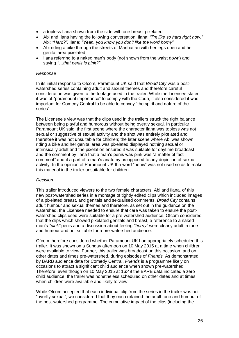- a topless Ilana shown from the side with one breast pixelated;
- Abi and Ilana having the following conversation. Ilana: *"I'm like so hard right now."* Abi: *"Hard?"*, Ilana: *"Yeah, you know you don't like the word horny"*;
- Abi riding a bike through the streets of Manhattan with her legs open and her genital area pixelated;
- Ilana referring to a naked man's body (not shown from the waist down) and saying *"…that penis is pink?"*

#### *Response*

In its initial response to Ofcom, Paramount UK said that *Broad City* was a postwatershed series containing adult and sexual themes and therefore careful consideration was given to the footage used in the trailer. While the Licensee stated it was of "paramount importance" to comply with the Code, it also considered it was important for Comedy Central to be able to convey "the spirit and nature of the series".

The Licensee's view was that the clips used in the trailers struck the right balance between being playful and humorous without being overtly sexual. In particular Paramount UK said: the first scene where the character Ilana was topless was not sexual or suggestive of sexual activity and the shot was entirely pixelated and therefore it was not unsuitable for children; the later scene where Abi was shown riding a bike and her genital area was pixelated displayed nothing sexual or intrinsically adult and the pixelation ensured it was suitable for daytime broadcast; and the comment by Ilana that a man's penis was pink was "a matter of fact comment" about a part of a man's anatomy as opposed to any depiction of sexual activity. In the opinion of Paramount UK the word "penis" was not used so as to make this material in the trailer unsuitable for children.

#### *Decision*

This trailer introduced viewers to the two female characters, Abi and Ilana, of this new post-watershed series in a montage of tightly edited clips which included images of a pixelated breast, and genitals and sexualised comments. *Broad City* contains adult humour and sexual themes and therefore, as set out in the guidance on the watershed, the Licensee needed to ensure that care was taken to ensure the postwatershed clips used were suitable for a pre-watershed audience. Ofcom considered that the clips which showed pixelated genitals and breast, a reference to a naked man's *"pink"* penis and a discussion about feeling *"horny"* were clearly adult in tone and humour and not suitable for a pre-watershed audience.

Ofcom therefore considered whether Paramount UK had appropriately scheduled this trailer. It was shown on a Sunday afternoon on 10 May 2015 at a time when children were available to view. Further, this trailer was broadcast on this occasion, and on other dates and times pre-watershed, during episodes of *Friends.* As demonstrated by BARB audience data for Comedy Central, *Friends* is a programme likely on occasions to attract a significant child audience when shown pre-watershed. Therefore, even though on 10 May 2015 at 16:49 the BARB data indicated a zero child audience, the trailer was nonetheless scheduled on other dates and at times when children were available and likely to view.

While Ofcom accepted that each individual clip from the series in the trailer was not "overtly sexual", we considered that they each retained the adult tone and humour of the post-watershed programme. The cumulative impact of the clips (including the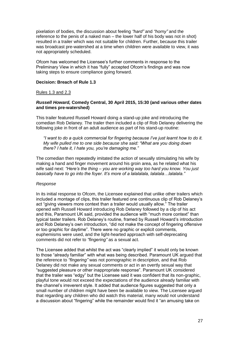pixelation of bodies, the discussion about feeling *"hard"* and *"horny"* and the reference to the penis of a naked man – the lower half of his body was not in shot) resulted in a trailer which was not suitable for children. Further, because this trailer was broadcast pre-watershed at a time when children were available to view, it was not appropriately scheduled.

Ofcom has welcomed the Licensee's further comments in response to the Preliminary View in which it has "fully" accepted Ofcom's findings and was now taking steps to ensure compliance going forward.

#### **Decision: Breach of Rule 1.3**

#### Rules 1.3 and 2.3

#### *Russell Howard,* **Comedy Central, 30 April 2015, 15:30 (and various other dates and times pre-watershed)**

This trailer featured Russell Howard doing a stand-up joke and introducing the comedian Rob Delaney. The trailer then included a clip of Rob Delaney delivering the following joke in front of an adult audience as part of his stand-up routine:

*"I want to do a quick commercial for fingering because I've just learnt how to do it. My wife pulled me to one side because she said: "What are you doing down there? I hate it, I hate you, you're damaging me."* 

The comedian then repeatedly imitated the action of sexually stimulating his wife by making a hand and finger movement around his groin area, as he related what his wife said next: *"Here's the thing – you are working way too hard you know. You just basically have to go into the foyer. It's more of a lalalalala, lalalala…lalalala."*

#### *Response*

In its initial response to Ofcom, the Licensee explained that unlike other trailers which included a montage of clips, this trailer featured one continuous clip of Rob Delaney's act "giving viewers more context than a trailer would usually allow." The trailer opened with Russell Howard introducing Rob Delaney followed by a clip of his act and this, Paramount UK said, provided the audience with "much more context" than typical taster trailers. Rob Delaney's routine, framed by Russell Howard's introduction and Rob Delaney's own introduction, "did not make the concept of fingering offensive or too graphic for daytime". There were no graphic or explicit comments, euphemisms were used, and the light-hearted approach with self-deprecating comments did not refer to *"fingering"* as a sexual act.

The Licensee added that whilst the act was "clearly implied" it would only be known to those "already familiar" with what was being described. Paramount UK argued that the reference to *"fingering"* was not pornographic in description, and that Rob Delaney did not make any sexual comments or act in an overtly sexual way that "suggested pleasure or other inappropriate response". Paramount UK considered that the trailer was "edgy" but the Licensee said it was confident that its non-graphic, playful tone would not exceed the expectations of the audience already familiar with the channel's irreverent style. It added that audience figures suggested that only a small number of children might have been be available to view. The Licensee argued that regarding any children who did watch this material, many would not understand a discussion about "fingering" while the remainder would find it "an amusing take on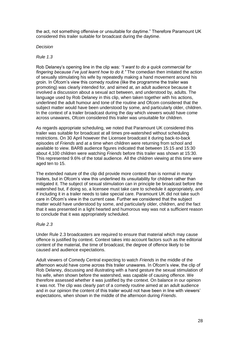the act, not something offensive or unsuitable for daytime." Therefore Paramount UK considered this trailer suitable for broadcast during the daytime.

#### *Decision*

#### *Rule 1.3*

Rob Delaney's opening line in the clip was: *"I want to do a quick commercial for fingering because I've just learnt how to do it."* The comedian then imitated the action of sexually stimulating his wife by repeatedly making a hand movement around his groin. In Ofcom's view this comedy routine (like the programme the trailer was promoting) was clearly intended for, and aimed at, an adult audience because it involved a discussion about a sexual act between, and understood by, adults. The language used by Rob Delaney in this clip, when taken together with his actions, underlined the adult humour and tone of the routine and Ofcom considered that the subject matter would have been understood by some, and particularly older, children. In the context of a trailer broadcast during the day which viewers would have come across unawares, Ofcom considered this trailer was unsuitable for children.

As regards appropriate scheduling, we noted that Paramount UK considered this trailer was suitable for broadcast at all times pre-watershed without scheduling restrictions. On 30 April however the Licensee broadcast it during back-to-back episodes of *Friends* and at a time when children were returning from school and available to view. BARB audience figures indicated that between 15:15 and 15:30 about 4,100 children were watching *Friends* before this trailer was shown at 15:30. This represented 9.6% of the total audience. All the children viewing at this time were aged ten to 15.

The extended nature of the clip did provide more context than is normal in many trailers, but in Ofcom's view this underlined its unsuitability for children rather than mitigated it. The subject of sexual stimulation can in principle be broadcast before the watershed but, if doing so, a licensee must take care to schedule it appropriately, and if including it in a trailer needs to take special care. Paramount UK did not take such care in Ofcom's view in the current case. Further we considered that the subject matter would have understood by some, and particularly older, children, and the fact that it was presented in a light hearted and humorous way was not a sufficient reason to conclude that it was appropriately scheduled.

# *Rule 2.3*

Under Rule 2.3 broadcasters are required to ensure that material which may cause offence is justified by context. Context takes into account factors such as the editorial content of the material, the time of broadcast, the degree of offence likely to be caused and audience expectations.

Adult viewers of Comedy Central expecting to watch *Friends* in the middle of the afternoon would have come across this trailer unawares. In Ofcom's view, the clip of Rob Delaney, discussing and illustrating with a hand gesture the sexual stimulation of his wife, when shown before the watershed, was capable of causing offence. We therefore assessed whether it was justified by the context. On balance in our opinion it was not. The clip was clearly part of a comedy routine aimed at an adult audience and in our opinion the content of this trailer would not have been in line with viewers' expectations, when shown in the middle of the afternoon during *Friends*.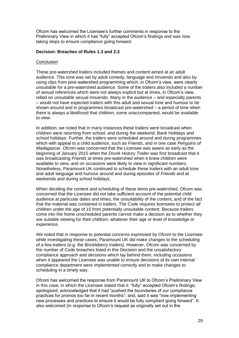Ofcom has welcomed the Licensee's further comments in response to the Preliminary View in which it has "fully" accepted Ofcom's findings and was now taking steps to ensure compliance going forward.

#### **Decision: Breaches of Rules 1.3 and 2.3**

#### **Conclusion**

These pre-watershed trailers included themes and content aimed at an adult audience. This tone was set by adult comedy, language and innuendo and also by using clips from post-watershed programming which, in Ofcom's view, were clearly unsuitable for a pre-watershed audience. Some of the trailers also included a number of sexual references which were not always explicit but at times, in Ofcom's view, relied on unsuitable sexual innuendo. Many in the audience – and especially parents – would not have expected trailers with this adult and sexual tone and humour to be shown around and in programmes broadcast pre-watershed – a period of time when there is always a likelihood that children, some unaccompanied, would be available to view.

In addition, we noted that in many instances these trailers were broadcast when children were returning from school, and during the weekend, Bank Holidays and school holidays. Further, the trailers were scheduled around and during programmes which with appeal to a child audience, such as *Friends*, and in one case *Penguins of Madagascar*. Ofcom was concerned that the Licensee was aware as early as the beginning of January 2015 when the *Drunk History Trailer* was first broadcast that it was broadcasting *Friends* at times pre-watershed when it knew children were available to view, and on occasions were likely to view in significant numbers. Nonetheless, Paramount UK continued to schedule these trailers with an adult tone and adult language and humour around and during episodes of *Friends* and at weekends and during school holidays.

When deciding the content and scheduling of these items pre-watershed, Ofcom was concerned that the Licensee did not take sufficient account of the potential child audience at particular dates and times, the unsuitability of the content, and of the fact that the material was contained in trailers. The Code requires licensees to protect *all* children under the age of 15 from potentially unsuitable content. Because trailers come into the home unscheduled parents cannot make a decision as to whether they are suitable viewing for their children, whatever their age or level of knowledge or experience.

We noted that in response to potential concerns expressed by Ofcom to the Licensee while investigating these cases, Paramount UK did make changes to the scheduling of a few trailers (e.g. the *Brickleberry* trailers). However, Ofcom was concerned by the number of Code breaches listed in this Decision and the unsatisfactory compliance approach and decisions which lay behind them, including occasions when it appeared the Licensee was unable to ensure decisions of its own internal compliance department were implemented correctly and to make changes to scheduling in a timely way.

Ofcom has welcomed the response from Paramount UK to Ofcom's Preliminary View in this case, in which the Licensee stated that it: "fully" accepted Ofcom's findings; apologised; acknowledged that it had "pushed the boundaries of our compliance practices for promos too far in recent months"; and, said it was "now implementing new processes and practices to ensure it would be fully compliant going forward". It also welcomed (in response to Ofcom's request as originally set out in the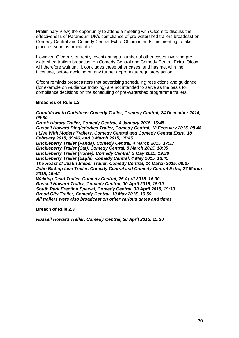Preliminary View) the opportunity to attend a meeting with Ofcom to discuss the effectiveness of Paramount UK's compliance of pre-watershed trailers broadcast on Comedy Central and Comedy Central Extra. Ofcom intends this meeting to take place as soon as practicable.

However, Ofcom is currently investigating a number of other cases involving prewatershed trailers broadcast on Comedy Central and Comedy Central Extra. Ofcom will therefore wait until it concludes these other cases, and has met with the Licensee, before deciding on any further appropriate regulatory action.

Ofcom reminds broadcasters that advertising scheduling restrictions and guidance (for example on Audience Indexing) are not intended to serve as the basis for compliance decisions on the scheduling of pre-watershed programme trailers.

#### **Breaches of Rule 1.3**

#### *Countdown to Christmas Comedy Trailer, Comedy Central, 24 December 2014, 09:30*

*Drunk History Trailer, Comedy Central, 4 January 2015, 15:45 Russell Howard Dingledodies Trailer, Comedy Central, 18 February 2015, 08:48 I Live With Models Trailers, Comedy Central and Comedy Central Extra, 18 February 2015, 09:46, and 3 March 2015, 15:45 Brickleberry Trailer (Panda), Comedy Central, 4 March 2015, 17:17 Brickleberry Trailer (Cat), Comedy Central, 8 March 2015, 10:35 Brickleberry Trailer (Horse), Comedy Central, 3 May 2015, 19:30 Brickleberry Trailer (Eagle), Comedy Central, 4 May 2015, 18:45 The Roast of Justin Bieber Trailer, Comedy Central, 14 March 2015, 08:37 John Bishop Live Trailer, Comedy Central and Comedy Central Extra, 27 March 2015, 15:42 Walking Dead Trailer, Comedy Central, 25 April 2015, 16:30 Russell Howard Trailer, Comedy Central, 30 April 2015, 15:30 South Park Erection Special, Comedy Central, 30 April 2015, 19:30 Broad City Trailer, Comedy Central, 10 May 2015, 16:59*

*All trailers were also broadcast on other various dates and times*

**Breach of Rule 2.3**

*Russell Howard Trailer, Comedy Central, 30 April 2015, 15:30*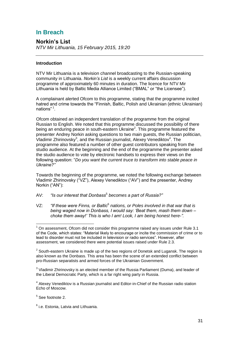# **In Breach**

**Norkin's List** *NTV Mir Lithuania, 15 February 2015, 19:20*

# **Introduction**

NTV Mir Lithuania is a television channel broadcasting to the Russian-speaking community in Lithuania. *Norkin's List* is a weekly current affairs discussion programme of approximately 60 minutes in duration. The licence for NTV Mir Lithuania is held by Baltic Media Alliance Limited ("BMAL" or "the Licensee").

A complainant alerted Ofcom to this programme, stating that the programme incited hatred and crime towards the "Finnish, Baltic, Polish and Ukrainian (ethnic Ukrainian) nations"<sup>1</sup>.

Ofcom obtained an independent translation of the programme from the original Russian to English. We noted that this programme discussed the possibility of there being an enduring peace in south-eastern Ukraine<sup>2</sup>. This programme featured the presenter Andrey Norkin asking questions to two main guests, the Russian politician, Vladimir Zhirinovsky<sup>3</sup>, and the Russian journalist, Alexey Venediktov<sup>4</sup>. The programme also featured a number of other guest contributors speaking from the studio audience. At the beginning and the end of the programme the presenter asked the studio audience to vote by electronic handsets to express their views on the following question: "*Do you want the current truce to transform into stable peace in Ukraine?"*

Towards the beginning of the programme, we noted the following exchange between Vladimir Zhirinovsky ("VZ"), Alexey Venediktov ("AV") and the presenter, Andrey Norkin ("AN"):

- AV: "Is our interest that Donbass<sup>5</sup> becomes a part of Russia?"
- VZ: "If these were Finns, or Baltic<sup>6</sup> nations, or Poles involved in that war that is *being waged now in Donbass, I would say: 'Beat them, mash them down – choke them away!' This is who I am! Look, I am being honest here-".*

- <sup>5</sup> See footnote 2.
- 6 i.e. Estonia, Latvia and Lithuania.

<sup>1</sup>  $1$  On assessment. Ofcom did not consider this programme raised any issues under Rule 3.1 of the Code, which states: "Material likely to encourage or incite the commission of crime or to lead to disorder must not be included in television or radio services". However, after assessment, we considered there were potential issues raised under Rule 2.3.

 $2$  South-eastern Ukraine is made up of the two regions of Donetsk and Lugansk. The region is also known as the Donbass. This area has been the scene of an extended conflict between pro-Russian separatists and armed forces of the Ukrainian Government.

 $3$  Vladimir Zhirinovsky is an elected member of the Russia Parliament (Duma), and leader of the Liberal Democratic Party, which is a far right wing party in Russia.

<sup>&</sup>lt;sup>4</sup> Alexey Venediktov is a Russian journalist and Editor-in-Chief of the Russian radio station Echo of Moscow.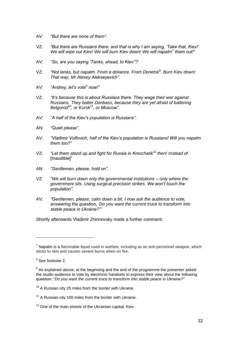- AV: *"But there are none of them".*
- VZ: *"But there are Russians there, and that is why I am saying, 'Take that, Kiev!' We will wipe out Kiev! We will burn Kiev down! We will napalm*<sup>7</sup> *them out!"*
- AV: *"So, are you saying 'Tanks, ahead, to Kiev'"?*
- VZ: "Not tanks, but napalm. From a distance. From Donetsk<sup>8</sup>. Burn Kiev down! *That way, Mr Alexey Alekseyevich".*
- AV: *"Andrey, let's vote*<sup>9</sup> *now!"*
- VZ: *"It's because this is about Russians there. They wage their war against Russians. They batter Donbass, because they are yet afraid of battering Belgorod*<sup>10</sup>*, or Kursk*<sup>11</sup>*, or Moscow".*
- AV: *"A half of the Kiev's population is Russians".*
- AN: *"Quiet please".*
- AV: *"Vladimir Volfovich, half of the Kiev's population is Russians! Will you napalm them too?"*
- VZ: *"Let them stand up and fight for Russia in Kreschatik*<sup>12</sup> *then! Instead of* [Inaudible]"
- AN: *"Gentlemen, please, hold on".*
- VZ: *"We will burn down only the governmental institutions – only where the government sits. Using surgical precision strikes. We won't touch the population".*
- AV: *"Gentlemen, please, calm down a bit. I now ask the audience to vote, answering the question, 'Do you want the current truce to transform into stable peace in Ukraine?'"*

Shortly afterwards Vladimir Zhirinovsky made a further comment:

 $<sup>7</sup>$  Napalm is a flammable liquid used in warfare, including as an anti-personnel weapon, which</sup> sticks to skin and causes severe burns when on fire.

<sup>&</sup>lt;sup>8</sup> See footnote 2.

 $9$  As explained above, at the beginning and the end of the programme the presenter asked the studio audience to vote by electronic handsets to express their view about the following question: "*Do you want the current truce to transform into stable peace in Ukraine?"*

 $10<sup>10</sup>$  A Russian city 25 miles from the border with Ukraine.

 $11$  A Russian city 100 miles from the border with Ukraine.

<sup>&</sup>lt;sup>12</sup> One of the main streets of the Ukrainian capital, Kiev.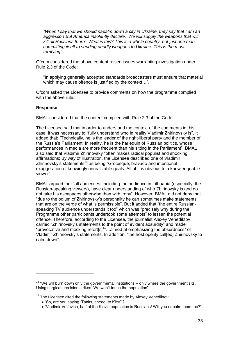*"When I say that we should napalm down a city in Ukraine, they say that I am an aggressor! But America insolently declare, 'We will supply the weapons that will kill all Russians there'. What is this? This is a whole country, not just one man, committing itself to sending deadly weapons to Ukraine. This is the most terrifying".*

Ofcom considered the above content raised issues warranting investigation under Rule 2.3 of the Code:

"In applying generally accepted standards broadcasters must ensure that material which may cause offence is justified by the context...".

Ofcom asked the Licensee to provide comments on how the programme complied with the above rule.

#### **Response**

1

BMAL considered that the content complied with Rule 2.3 of the Code.

The Licensee said that in order to understand the context of the comments in this case, it was necessary to "fully understand who in reality Vladimir Zhirinovsky is". It added that: "Technically, he is the leader of the right-liberal party and the member of the Russia's Parliament. In reality, he is the harlequin of Russian politics, whose performances in media are more frequent than his sitting in the Parliament". BMAL also said that Vladimir Zhirinovsky "often makes radical populist and shocking affirmations; By way of illustration, the Licensee described one of Vladimir Zhirinovsky's statements<sup>13</sup> as being "Grotesque, bravado and intentional exaggeration of knowingly unrealizable goals. All of it is obvious to a knowledgeable viewer".

BMAL argued that "all audiences, including the audience in Lithuania (especially, the Russian-speaking viewers), have clear understanding of who Zhirinovsky is and do not take his escapades otherwise than with irony". However, BMAL did not deny that "due to the odium of Zhirinovsky's personality he can sometimes make statements that are on the verge of what is permissible". But it added that "the entire Russianspeaking TV audience understands it too" which was "precisely why during the Programme other participants undertook some attempts" to lessen the potential offence. Therefore, according to the Licensee, the journalist Alexey Venediktov carried "Zhirinovsky's statements to the point of evident absurdity" and made "provocative and mocking retort[s]<sup>14</sup>…aimed at emphasizing the absurdness" of Vladimir Zhirinovsky's statements. In addition, "the host openly call[ed] Zhirinovsky to calm down".

 $13$  "We will burn down only the governmental institutions – only where the government sits. Using surgical precision strikes. We won't touch the population".

 $14$  The Licensee cited the following statements made by Alexey Venediktov:

"So, are you saying 'Tanks, ahead, to Kiev'"?

"Vladimir Volfovich, half of the Kiev's population is Russians! Will you napalm them too?"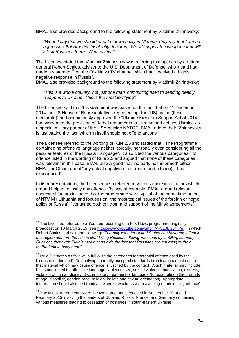BMAL also provided background to the following statement by Vladimir Zhirinovsky:

*"When I say that we should napalm down a city in Ukraine, they say that I am an*  aggressor! But America insolently declares, 'We will supply the weapons that will *kill all Russians there'. What is this?"*

The Licensee stated that Vladimir Zhirinovsky was referring to a speech by a retired general Robert Scales, adviser to the U.S. Department of Defense, who it said had made a statement<sup>15</sup> on the Fox News TV channel which had "received a highly negative response in Russia".

BMAL also provided background to the following statement by Vladimir Zhirinovsky:

*"This is a whole country, not just one man, committing itself to sending deadly weapons to Ukraine. This is the most terrifying".*

The Licensee said that this statement was based on the fact that on 11 December 2014 the US House of Representatives representing "the [US] nation (their electorate)" had unanimously approved the "Ukraine Freedom Support Act of 2014 that warranted the provision of "lethal armaments to Ukraine and defines Ukraine as a special military partner of the USA outside NATO"". BMAL added that: "Zhirinovsky is just stating the fact, which in itself should not offend anyone".

The Licensee referred to the wording of Rule 2.3 and stated that: "The Programme contained no offensive language neither lexically, nor tonally even considering all the peculiar features of the Russian language". It also cited the various categories<sup>16</sup> of offence listed in the wording of Rule 2.3 and argued that none of these categories was relevant in this case. BMAL also argued that "no party has informed" either BMAL, or Ofcom about "any actual negative effect (harm and offense) it had experienced".

In its representations, the Licensee also referred to various contextual factors which it argued helped to justify any offence. By way of example, BMAL argued relevant contextual factors included that the programme was: typical of the prime time output of NTV Mir Lithuania and focuses on "the most topical issues of the foreign or home policy of Russia"; "contained both criticism and support of the Minsk agreements<sup>17</sup>

 $15$  The Licensee referred to a Youtube recording of a Fox News programme originally broadcast on 10 March 2015 (see [https://www.youtube.com/watch?v=3EJLi23fTPg\)](https://www.youtube.com/watch?v=3EJLi23fTPg), in which Robert Scales had said the following: *"The only way the United States can have any effect in this region and turn the tide is start killing Russians. Killing Russians by… Killing so many Russians that even Putin's media can't hide the fact that Russians are returning to their motherland in body bags".*

 $16$  Rule 2.3 states as follows in full (with the categories for potential offence cited by the Licensee underlined): "In applying generally accepted standards broadcasters must ensure that material which may cause offence is justified by the context…Such material may include, but is not limited to, offensive language, violence, sex, sexual violence, humiliation, distress, violation of human dignity, discriminatory treatment or language (for example on the grounds of age, disability, gender, race, religion, beliefs and sexual orientation). Appropriate information should also be broadcast where it would assist in avoiding or minimising offence".

 $17$  The Minsk Agreements were the two agreements reached in September 2014 and February 2015 involving the leaders of Ukraine, Russia, France, and Germany containing various measures leading to cessation of hostilities in south-eastern Ukraine.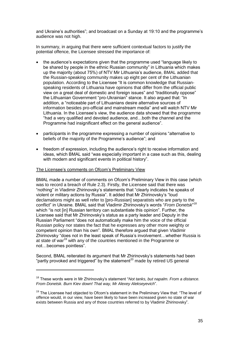and Ukraine's authorities"; and broadcast on a Sunday at 19:10 and the programme's audience was not high.

In summary, in arguing that there were sufficient contextual factors to justify the potential offence, the Licensee stressed the importance of:

- the audience's expectations given that the programme used "language likely to be shared by people in the ethnic Russian community" in Lithuania which makes up the majority (about 75%) of NTV Mir Lithuania's audience, BMAL added that the Russian-speaking community makes up eight per cent of the Lithuanian population. According to the Licensee "It is common knowledge that Russianspeaking residents of Lithuania have opinions that differ from the official public view on a great deal of domestic and foreign issues" and "traditionally oppose" the Lithuanian Government "pro-Ukrainian" stance. It also argued that: "In addition, a "noticeable part of Lithuanians desire alternative sources of information besides pro-official and mainstream media" and will watch NTV Mir Lithuania. In the Licensee's view, the audience data showed that the programme "had a very qualified and devoted audience, and…both the channel and the Programme had insignificant effect on the general audience".
- participants in the programme expressing a number of opinions "alternative to beliefs of the majority of the Programme's audience"; and
- freedom of expression, including the audience's right to receive information and ideas, which BMAL said "was especially important in a case such as this, dealing with modern and significant events in political history".

#### The Licensee's comments on Ofcom's Preliminary View

1

BMAL made a number of comments on Ofcom's Preliminary View in this case (which was to record a breach of Rule 2.3). Firstly, the Licensee said that there was "nothing" in Vladimir Zhirinovsky's statements that "clearly indicates he speaks of violent or military actions by Russia". It added that Mr Zhirinovsky's "loud declamations might as well refer to [pro-Russian] separatists who are party to the conflict" in Ukraine. BMAL said that Vladimir Zhirinovsky's words "*From Donetsk*" 18 which "is not [in] Russian territory can substantiate this opinion". Further, the Licensee said that Mr Zhirinovsky's status as a party leader and Deputy in the Russian Parliament "does not automatically make him the voice of the official Russian policy nor states the fact that he expresses any other more weighty or competent opinion than his own". BMAL therefore argued that given Vladimir Zhirinovsky "does not in the least speak of Russia's involvement…whether Russia is at state of war<sup>19</sup> with any of the countries mentioned in the Programme or not…becomes pointless".

Second, BMAL reiterated its argument that Mr Zhirinovsky's statements had been "partly provoked and triggered" by the statement<sup>20</sup> made by retired US general

<sup>18</sup> These words were in Mr Zhirinovsky's statement "*Not tanks, but napalm. From a distance. From Donetsk. Burn Kiev down! That way, Mr Alexey Alekseyevich*".

 $19$  The Licensee had objected to Ofcom's statement in the Preliminary View that: "The level of offence would, in our view, have been likely to have been increased given no state of war exists between Russia and any of those countries referred to by Vladimir Zhirinovsky".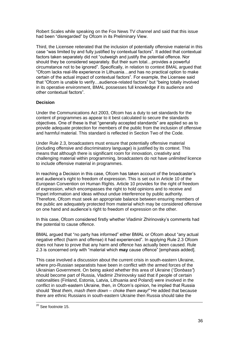Robert Scales while speaking on the Fox News TV channel and said that this issue had been "disregarded" by Ofcom in its Preliminary View.

Third, the Licensee reiterated that the inclusion of potentially offensive material in this case "was limited by and fully justified by contextual factors". It added that contextual factors taken separately did not "outweigh and justify the potential offence. Nor should they be considered separately. But their sum total…provides a powerful circumstance not to be ignored". Specifically, in relation to context BMAL argued that "Ofcom lacks real-life experience in Lithuania…and has no practical option to make certain of the actual impact of contextual factors". For example, the Licensee said that "Ofcom is unable to verify…audience-related factors" but "being totally involved in its operative environment, BMAL possesses full knowledge if its audience and other contextual factors".

# **Decision**

Under the Communications Act 2003, Ofcom has a duty to set standards for the content of programmes as appear to it best calculated to secure the standards objectives. One of these is that "generally accepted standards" are applied so as to provide adequate protection for members of the public from the inclusion of offensive and harmful material. This standard is reflected in Section Two of the Code.

Under Rule 2.3, broadcasters must ensure that potentially offensive material (including offensive and discriminatory language) is justified by its context. This means that although there is significant room for innovation, creativity and challenging material within programming, broadcasters do not have *unlimited* licence to include offensive material in programmes.

In reaching a Decision in this case, Ofcom has taken account of the broadcaster's and audience's right to freedom of expression. This is set out in Article 10 of the European Convention on Human Rights. Article 10 provides for the right of freedom of expression, which encompasses the right to hold opinions and to receive and impart information and ideas without undue interference by public authority. Therefore, Ofcom must seek an appropriate balance between ensuring members of the public are adequately protected from material which may be considered offensive on one hand and audience's right to freedom of expression on the other.

In this case, Ofcom considered firstly whether Vladimir Zhirinovsky's comments had the potential to cause offence.

BMAL argued that "no party has informed" either BMAL or Ofcom about "any actual negative effect (harm and offense) it had experienced". In applying Rule 2.3 Ofcom does not have to prove that any harm and offence has actually been caused. Rule 2.3 is concerned only with "material which **may** cause offence" [emphasis added].

This case involved a discussion about the current crisis in south-eastern Ukraine, where pro-Russian separatists have been in conflict with the armed forces of the Ukrainian Government. On being asked whether this area of Ukraine (*"Donbass"*) should become part of Russia, Vladimir Zhirinovsky said that if people of certain nationalities (Finland, Estonia, Latvia, Lithuania and Poland) were involved in the conflict in south-eastern Ukraine, then, in Ofcom's opinion, he implied that Russia should *"Beat them, mash them down – choke them away!"* He added that because there are ethnic Russians in south-eastern Ukraine then Russia should take the

 $20$  See footnote 15.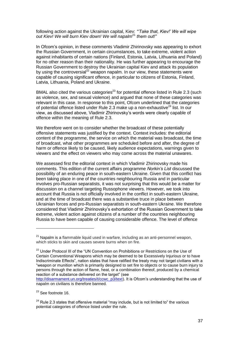following action against the Ukrainian capital, Kiev: *"'Take that, Kiev!' We will wipe out Kiev! We will burn Kiev down! We will napalm*<sup>21</sup> *them out!"*

In Ofcom's opinion, in these comments Vladimir Zhirinovsky was appearing to exhort the Russian Government, in certain circumstances, to take extreme, violent action against inhabitants of certain nations (Finland, Estonia, Latvia, Lithuania and Poland) for no other reason than their nationality. He was further appearing to encourage the Russian Government to destroy the Ukrainian capital Kiev and attack its population by using the controversial<sup>22</sup> weapon napalm. In our view, these statements were capable of causing significant offence, in particular to citizens of Estonia, Finland, Latvia, Lithuania, Poland and Ukraine.

BMAL also cited the various categories<sup>23</sup> for potential offence listed in Rule 2.3 (such as violence, sex, and sexual violence) and argued that none of these categories was relevant in this case. In response to this point, Ofcom underlined that the categories of potential offence listed under Rule 2.3 make up a non-exhaustive $^{24}$  list. In our view, as discussed above, Vladimir Zhirinovsky's words were clearly capable of offence within the meaning of Rule 2.3.

We therefore went on to consider whether the broadcast of these potentially offensive statements was justified by the context. Context includes: the editorial content of the programme, the service on which the material was broadcast, the time of broadcast, what other programmes are scheduled before and after, the degree of harm or offence likely to be caused, likely audience expectations, warnings given to viewers and the effect on viewers who may come across the material unawares.

We assessed first the editorial context in which Vladimir Zhirinovsky made his comments. This edition of the current affairs programme *Norkin's List* discussed the possibility of an enduring peace in south-eastern Ukraine. Given that this conflict has been taking place in one of the countries neighbouring Russia and in particular involves pro-Russian separatists, it was not surprising that this would be a matter for discussion on a channel targeting Russophone viewers. However, we took into account that Russia is not officially involved in the conflict in south-eastern Ukraine, and at the time of broadcast there was a substantive truce in place between Ukrainian forces and pro-Russian separatists in south-eastern Ukraine. We therefore considered that Vladimir Zhirinovsky's exhortation of the Russian Government to take extreme, violent action against citizens of a number of the countries neighbouring Russia to have been capable of causing considerable offence. The level of offence

 $21$  Napalm is a flammable liquid used in warfare, including as an anti-personnel weapon, which sticks to skin and causes severe burns when on fire.

<sup>&</sup>lt;sup>22</sup> Under Protocol III of the "UN Convention on Prohibitions or Restrictions on the Use of Certain Conventional Weapons which may be deemed to be Excessively Injurious or to have Indiscriminate Effects", nation states that have ratified the treaty may not target civilians with a "weapon or munition which is primarily designed to set fire to objects or to cause burn injury to persons through the action of flame, heat, or a combination thereof, produced by a chemical reaction of a substance delivered on the target" (see

[http://disarmament.un.org/treaties/t/ccwc\\_p3/text\)](http://disarmament.un.org/treaties/t/ccwc_p3/text). It is Ofcom's understanding that the use of napalm on civilians is therefore banned.

<sup>&</sup>lt;sup>23</sup> See footnote 16.

 $24$  Rule 2.3 states that offensive material "may include, but is not limited to" the various potential categories of offence listed under the rule.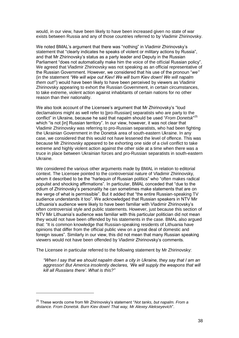would, in our view, have been likely to have been increased given no state of war exists between Russia and any of those countries referred to by Vladimir Zhirinovsky.

We noted BMAL's argument that there was "nothing" in Vladimir Zhirinovsky's statement that "clearly indicates he speaks of violent or military actions by Russia", and that Mr Zhirinovsky's status as a party leader and Deputy in the Russian Parliament "does not automatically make him the voice of the official Russian policy". We agreed that Vladimir Zhirinovsky was not speaking as an official representative of the Russian Government. However, we considered that his use of the pronoun "*we"* (in the statement *"We will wipe out Kiev! We will burn Kiev down! We will napalm them out!*") would have been likely to have been perceived by viewers as Vladimir Zhirinovsky appearing to exhort the Russian Government, in certain circumstances, to take extreme, violent action against inhabitants of certain nations for no other reason than their nationality.

We also took account of the Licensee's argument that Mr Zhirinovsky's "loud declamations might as well refer to [pro-Russian] separatists who are party to the conflict" in Ukraine, because he said that napalm should be used "*From Donetsk*" 25 which "is not [in] Russian territory". In our view, however, it was not clear that Vladimir Zhirinovsky was referring to pro-Russian separatists, who had been fighting the Ukrainian Government in the Donetsk area of south-eastern Ukraine. In any case, we considered that this would not have lessened the level of offence. This was because Mr Zhirinovsky appeared to be exhorting one side of a civil conflict to take extreme and highly violent action against the other side at a time when there was a truce in place between Ukrainian forces and pro-Russian separatists in south-eastern Ukraine.

We considered the various other arguments made by BMAL in relation to editorial context. The Licensee pointed to the controversial nature of Vladimir Zhirinovsky, whom it described to be the "harlequin of Russian politics" who "often makes radical populist and shocking affirmations". In particular, BMAL conceded that "due to the odium of Zhirinovsky's personality he can sometimes make statements that are on the verge of what is permissible". But it added that "the entire Russian-speaking TV audience understands it too". We acknowledged that Russian speakers in NTV Mir Lithuania's audience were likely to have been familiar with Vladimir Zhirinovsky's often controversial style and public statements. However, just because this section of NTV Mir Lithuania's audience was familiar with this particular politician did not mean they would not have been offended by his statements in the case. BMAL also argued that: "It is common knowledge that Russian-speaking residents of Lithuania have opinions that differ from the official public view on a great deal of domestic and foreign issues". Similarly in our view, this did not mean that many Russian speaking viewers would not have been offended by Vladimir Zhirinovsky's comments.

The Licensee in particular referred to the following statement by Mr Zhirinovsky:

*"When I say that we should napalm down a city in Ukraine, they say that I am an*  aggressor! But America insolently declares, 'We will supply the weapons that will *kill all Russians there'. What is this?"*

<sup>25</sup> These words come from Mr Zhirinovsky's statement "*Not tanks, but napalm. From a distance. From Donetsk. Burn Kiev down! That way, Mr Alexey Alekseyevich*".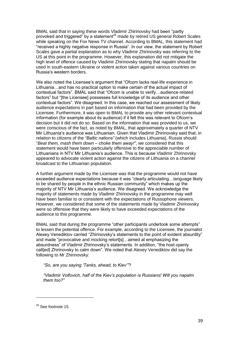BMAL said that in saying these words Vladimir Zhirinovsky had been "partly provoked and triggered" by a statement<sup>26</sup> made by retired US general Robert Scales while speaking on the Fox News TV channel. According to BMAL, this statement had "received a highly negative response in Russia". In our view, the statement by Robert Scales gave a partial explanation as to why Vladimir Zhirinovsky was referring to the US at this point in the programme. However, this explanation did not mitigate the high level of offence caused by Vladimir Zhirinovsky stating that napalm should be used in south-eastern Ukraine or violent action taken against various countries on Russia's western borders.

We also noted the Licensee's argument that "Ofcom lacks real-life experience in Lithuania…and has no practical option to make certain of the actual impact of contextual factors". BMAL said that "Ofcom is unable to verify…audience-related factors" but "[the Licensee] possesses full knowledge of its audience and other contextual factors". We disagreed. In this case, we reached our assessment of likely audience expectations in part based on information that had been provided by the Licensee. Furthermore, it was open to BMAL to provide any other relevant contextual information (for example about its audience) if it felt this was relevant to Ofcom's decision but it did not do so. Based on the information that was provided to us, we were conscious of the fact, as noted by BMAL, that approximately a quarter of NTV Mir Lithuania's audience was Lithuanian. Given that Vladimir Zhirinovsky said that, in relation to citizens of the *"Baltic nations"* (which includes Lithuania), Russia should "*Beat them, mash them down – choke them away!"*, we considered that this statement would have been particularly offensive to the appreciable number of Lithuanians in NTV Mir Lithuania's audience. This is because Vladimir Zhirinovsky appeared to advocate violent action against the citizens of Lithuania on a channel broadcast to the Lithuanian population.

A further argument made by the Licensee was that the programme would not have exceeded audience expectations because it was "clearly articulating…language likely to be shared by people in the ethnic Russian community" which makes up the majority of NTV Mir Lithuania's audience. We disagreed. We acknowledge the majority of statements made by Vladimir Zhirinovsky in the programme may well have been familiar to or consistent with the expectations of Russophone viewers. However, we considered that some of the statements made by Vladimir Zhirinovsky were so offensive that they were likely to have exceeded expectations of the audience to this programme.

BMAL said that during the programme "other participants undertook some attempts" to lessen the potential offence. For example, according to the Licensee, the journalist Alexey Venediktov carried "Zhirinovsky's statements to the point of evident absurdity" and made "provocative and mocking retort[s]…aimed at emphasizing the absurdness" of Vladimir Zhirinovsky's statements. In addition, "the host openly call[ed] Zhirinovsky to calm down". We noted that Alexey Venediktov did say the following to Mr Zhirinovsky:

*"So, are you saying 'Tanks, ahead, to Kiev'"*?

*"Vladimir Volfovich, half of the Kiev's population is Russians! Will you napalm them too?"*

<sup>&</sup>lt;sup>26</sup> See footnote 15.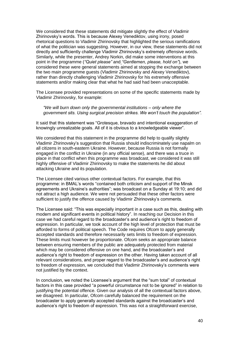We considered that these statements did mitigate slightly the effect of Vladimir Zhirinovsky's words. This is because Alexey Venediktov, using irony, posed rhetorical questions to Vladimir Zhirinovsky that highlighted the serious ramifications of what the politician was suggesting. However, in our view, these statements did not directly and sufficiently challenge Vladimir Zhirinovsky's extremely offensive words. Similarly, while the presenter, Andrey Norkin, did make some interventions at this point in the programme (*"Quiet please"* and *"Gentlemen, please, hold on"*), we considered these were general statements aimed at stopping the exchange between the two main programme guests (Vladimir Zhirinovsky and Alexey Venediktov), rather than directly challenging Vladimir Zhirinovsky for his extremely offensive statements and/or making clear that what he had said had been unacceptable.

The Licensee provided representations on some of the specific statements made by Vladimir Zhirinovsky, for example:

*"We will burn down only the governmental institutions – only where the government sits. Using surgical precision strikes. We won't touch the population".*

It said that this statement was "Grotesque, bravado and intentional exaggeration of knowingly unrealizable goals. All of it is obvious to a knowledgeable viewer".

We considered that this statement in the programme did help to qualify slightly Vladimir Zhirinovsky's suggestion that Russia should indiscriminately use napalm on all citizens in south-eastern Ukraine. However, because Russia is not formally engaged in the conflict in Ukraine (in any official sense), and there was a truce in place in that conflict when this programme was broadcast, we considered it was still highly offensive of Vladimir Zhirinovsky to make the statements he did about attacking Ukraine and its population.

The Licensee cited various other contextual factors. For example, that this programme: in BMAL's words "contained both criticism and support of the Minsk agreements and Ukraine's authorities"; was broadcast on a Sunday at 19:10; and did not attract a high audience. We were not persuaded that these other factors were sufficient to justify the offence caused by Vladimir Zhirinovsky's comments.

The Licensee said: "This was especially important in a case such as this, dealing with modern and significant events in political history". In reaching our Decision in this case we had careful regard to the broadcaster's and audience's right to freedom of expression. In particular, we took account of the high level of protection that must be afforded to forms of political speech. The Code requires Ofcom to apply generally accepted standards and therefore necessarily sets limits to freedom of expression. These limits must however be proportionate. Ofcom seeks an appropriate balance between ensuring members of the public are adequately protected from material which may be considered offensive on one hand, and the broadcaster's and audience's right to freedom of expression on the other. Having taken account of all relevant considerations, and proper regard to the broadcaster's and audience's right to freedom of expression, we concluded that Vladimir Zhirinovsky's comments were not justified by the context.

In conclusion, we noted the Licensee's argument that the "sum total" of contextual factors in this case provided "a powerful circumstance not to be ignored" in relation to justifying the potential offence. Given our analysis of all the contextual factors above, we disagreed. In particular, Ofcom carefully balanced the requirement on the broadcaster to apply generally accepted standards against the broadcaster's and audience's right to freedom of expression. This was not a straightforward exercise,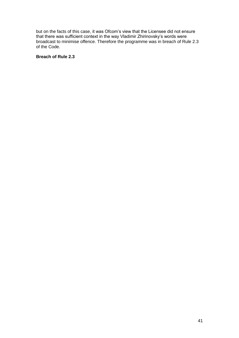but on the facts of this case, it was Ofcom's view that the Licensee did not ensure that there was sufficient context in the way Vladimir Zhirinovsky's words were broadcast to minimise offence. Therefore the programme was in breach of Rule 2.3 of the Code.

# **Breach of Rule 2.3**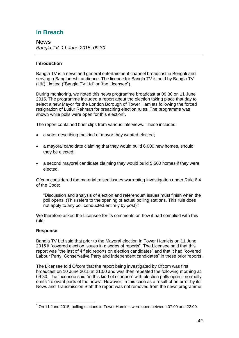# **In Breach**

**News** *Bangla TV, 11 June 2015, 09:30*

# **Introduction**

Bangla TV is a news and general entertainment channel broadcast in Bengali and serving a Bangladeshi audience. The licence for Bangla TV is held by Bangla TV (UK) Limited ("Bangla TV Ltd" or "the Licensee").

During monitoring, we noted this news programme broadcast at 09:30 on 11 June 2015. The programme included a report about the election taking place that day to select a new Mayor for the London Borough of Tower Hamlets following the forced resignation of Lutfur Rahman for breaching election rules. The programme was shown while polls were open for this election $1$ .

The report contained brief clips from various interviews. These included:

- a voter describing the kind of mayor they wanted elected;
- a mayoral candidate claiming that they would build 6,000 new homes, should they be elected;
- a second mayoral candidate claiming they would build 5,500 homes if they were elected.

Ofcom considered the material raised issues warranting investigation under Rule 6.4 of the Code:

"Discussion and analysis of election and referendum issues must finish when the poll opens. (This refers to the opening of actual polling stations. This rule does not apply to any poll conducted entirely by post)."

We therefore asked the Licensee for its comments on how it had complied with this rule.

# **Response**

1

Bangla TV Ltd said that prior to the Mayoral election in Tower Hamlets on 11 June 2015 it "covered election issues in a series of reports". The Licensee said that this report was "the last of 4 field reports on election candidates" and that it had "covered Labour Party, Conservative Party and Independent candidates" in these prior reports.

The Licensee told Ofcom that the report being investigated by Ofcom was first broadcast on 10 June 2015 at 21:00 and was then repeated the following morning at 09:30. The Licensee said "in this kind of scenario" with election polls open it normally omits "relevant parts of the news". However, in this case as a result of an error by its News and Transmission Staff the report was not removed from the news programme

 $1$  On 11 June 2015, polling stations in Tower Hamlets were open between 07:00 and 22:00.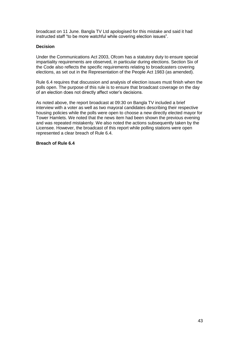broadcast on 11 June. Bangla TV Ltd apologised for this mistake and said it had instructed staff "to be more watchful while covering election issues".

# **Decision**

Under the Communications Act 2003, Ofcom has a statutory duty to ensure special impartiality requirements are observed, in particular during elections. Section Six of the Code also reflects the specific requirements relating to broadcasters covering elections, as set out in the Representation of the People Act 1983 (as amended).

Rule 6.4 requires that discussion and analysis of election issues must finish when the polls open. The purpose of this rule is to ensure that broadcast coverage on the day of an election does not directly affect voter's decisions.

As noted above, the report broadcast at 09:30 on Bangla TV included a brief interview with a voter as well as two mayoral candidates describing their respective housing policies while the polls were open to choose a new directly elected mayor for Tower Hamlets. We noted that the news item had been shown the previous evening and was repeated mistakenly. We also noted the actions subsequently taken by the Licensee. However, the broadcast of this report while polling stations were open represented a clear breach of Rule 6.4.

#### **Breach of Rule 6.4**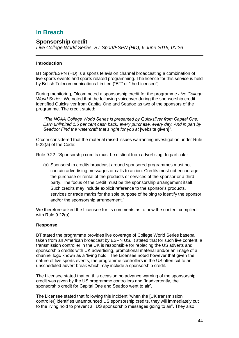# **In Breach**

# **Sponsorship credit**

*Live College World Series, BT Sport/ESPN (HD), 6 June 2015, 00:26*

# **Introduction**

BT Sport/ESPN (HD) is a sports television channel broadcasting a combination of live sports events and sports related programming. The licence for this service is held by British Telecommunications Limited ("BT" or "the Licensee").

During monitoring, Ofcom noted a sponsorship credit for the programme *Live College World Series*. We noted that the following voiceover during the sponsorship credit identified Quicksilver from Capital One and Seadoo as two of the sponsors of the programme. The credit stated:

*"The NCAA College World Series is presented by Quicksilver from Capital One: Earn unlimited 1.5 per cent cash back, every purchase, every day. And in part by Seadoo: Find the watercraft that's right for you at [website given]".* 

Ofcom considered that the material raised issues warranting investigation under Rule 9.22(a) of the Code:

Rule 9.22: "Sponsorship credits must be distinct from advertising. In particular:

(a) Sponsorship credits broadcast around sponsored programmes must not contain advertising messages or calls to action. Credits must not encourage the purchase or rental of the products or services of the sponsor or a third party. The focus of the credit must be the sponsorship arrangement itself. Such credits may include explicit reference to the sponsor's products, services or trade marks for the sole purpose of helping to identify the sponsor and/or the sponsorship arrangement."

We therefore asked the Licensee for its comments as to how the content complied with Rule 9.22(a).

# **Response**

BT stated the programme provides live coverage of College World Series baseball taken from an American broadcast by ESPN US. It stated that for such live content, a transmission controller in the UK is responsible for replacing the US adverts and sponsorship credits with UK advertising, promotional material and/or an image of a channel logo known as a 'living hold'. The Licensee noted however that given the nature of live sports events, the programme controllers in the US often cut to an unscheduled advert break which may include a sponsorship credit.

The Licensee stated that on this occasion no advance warning of the sponsorship credit was given by the US programme controllers and "inadvertently, the sponsorship credit for Capital One and Seadoo went to air".

The Licensee stated that following this incident "when the [UK transmission controller] identifies unannounced US sponsorship credits, they will immediately cut to the living hold to prevent all US sponsorship messages going to air". They also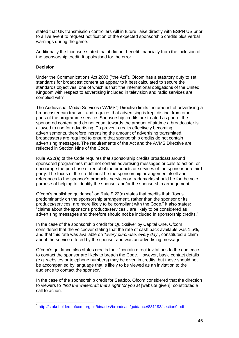stated that UK transmission controllers will in future liaise directly with ESPN US prior to a live event to request notification of the expected sponsorship credits plus verbal warnings during the game.

Additionally the Licensee stated that it did not benefit financially from the inclusion of the sponsorship credit. It apologised for the error.

### **Decision**

Under the Communications Act 2003 ("the Act"), Ofcom has a statutory duty to set standards for broadcast content as appear to it best calculated to secure the standards objectives, one of which is that "the international obligations of the United Kingdom with respect to advertising included in television and radio services are complied with".

The Audiovisual Media Services ("AVMS") Directive limits the amount of advertising a broadcaster can transmit and requires that advertising is kept distinct from other parts of the programme service. Sponsorship credits are treated as part of the sponsored content and do not count towards the amount of airtime a broadcaster is allowed to use for advertising. To prevent credits effectively becoming advertisements, therefore increasing the amount of advertising transmitted, broadcasters are required to ensure that sponsorship credits do not contain advertising messages. The requirements of the Act and the AVMS Directive are reflected in Section Nine of the Code.

Rule 9.22(a) of the Code requires that sponsorship credits broadcast around sponsored programmes must not contain advertising messages or calls to action, or encourage the purchase or rental of the products or services of the sponsor or a third party. The focus of the credit must be the sponsorship arrangement itself and references to the sponsor's products, services or trademarks should be for the sole purpose of helping to identify the sponsor and/or the sponsorship arrangement.

Ofcom's published guidance<sup>1</sup> on Rule  $9.22(a)$  states that credits that: "focus predominantly on the sponsorship arrangement, rather than the sponsor or its products/services, are more likely to be compliant with the Code." It also states: "claims about the sponsor's products/services…are likely to be considered as advertising messages and therefore should not be included in sponsorship credits."

In the case of the sponsorship credit for Quicksilver by Capital One, Ofcom considered that the voiceover stating that the rate of cash back available was 1.5%, and that this rate was available on *"every purchase, every day"*, constituted a claim about the service offered by the sponsor and was an advertising message.

Ofcom's guidance also states credits that: "contain direct invitations to the audience to contact the sponsor are likely to breach the Code. However, basic contact details (e.g. websites or telephone numbers) may be given in credits, but these should not be accompanied by language that is likely to be viewed as an invitation to the audience to contact the sponsor."

In the case of the sponsorship credit for Seadoo, Ofcom considered that the direction to viewers to *"find the watercraft that's right for you at* [website given]*"* constituted a call to action.

 1 <http://stakeholders.ofcom.org.uk/binaries/broadcast/guidance/831193/section9.pdf>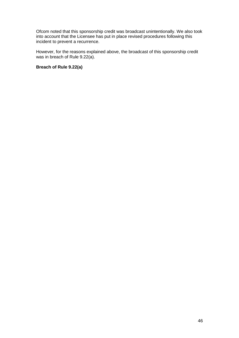Ofcom noted that this sponsorship credit was broadcast unintentionally. We also took into account that the Licensee has put in place revised procedures following this incident to prevent a recurrence.

However, for the reasons explained above, the broadcast of this sponsorship credit was in breach of Rule 9.22(a).

### **Breach of Rule 9.22(a)**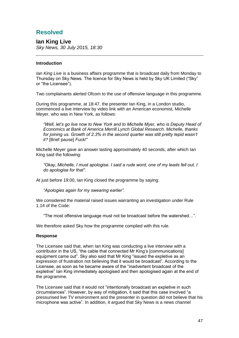# **Resolved**

**Ian King Live** *Sky News, 30 July 2015, 18:30*

# **Introduction**

*Ian King Live* is a business affairs programme that is broadcast daily from Monday to Thursday on Sky News. The licence for Sky News is held by Sky UK Limited ("Sky" or "the Licensee").

Two complainants alerted Ofcom to the use of offensive language in this programme*.*

During this programme, at 18:47, the presenter Ian King, in a London studio, commenced a live interview by video link with an American economist, Michelle Meyer, who was in New York, as follows:

*"Well, let's go live now to New York and to Michelle Myer, who is Deputy Head of Economics at Bank of America Merrill Lynch Global Research. Michelle, thanks for joining us. Growth of 2.3% in the second quarter was still pretty tepid wasn't it?* [Brief pause] *Fuck!"*

Michelle Meyer gave an answer lasting approximately 40 seconds, after which Ian King said the following:

*"Okay, Michelle, I must apologise. I said a rude word, one of my leads fell out, I do apologise for that".*

At just before 19:00, Ian King closed the programme by saying:

*"Apologies again for my swearing earlier".*

We considered the material raised issues warranting an investigation under Rule 1.14 of the Code:

"The most offensive language must not be broadcast before the watershed…".

We therefore asked Sky how the programme complied with this rule.

# **Response**

The Licensee said that, when Ian King was conducting a live interview with a contributor in the US, "the cable that connected Mr King's [communications] equipment came out". Sky also said that Mr King "issued the expletive as an expression of frustration not believing that it would be broadcast". According to the Licensee, as soon as he became aware of the "inadvertent broadcast of the expletive" Ian King immediately apologised and then apologised again at the end of the programme.

The Licensee said that it would not "intentionally broadcast an expletive in such circumstances". However, by way of mitigation, it said that this case involved "a pressurised live TV environment and the presenter in question did not believe that his microphone was active". In addition, it argued that Sky News is a news channel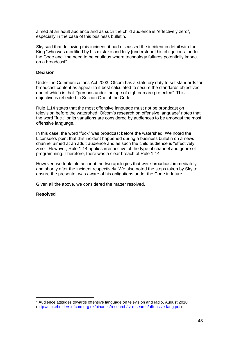aimed at an adult audience and as such the child audience is "effectively zero", especially in the case of this business bulletin.

Sky said that, following this incident, it had discussed the incident in detail with Ian King "who was mortified by his mistake and fully [understood] his obligations" under the Code and "the need to be cautious where technology failures potentially impact on a broadcast".

#### **Decision**

Under the Communications Act 2003, Ofcom has a statutory duty to set standards for broadcast content as appear to it best calculated to secure the standards objectives, one of which is that: "persons under the age of eighteen are protected". This objective is reflected in Section One of the Code.

Rule 1.14 states that the most offensive language must not be broadcast on television before the watershed. Ofcom's research on offensive language<sup>1</sup> notes that the word "fuck" or its variations are considered by audiences to be amongst the most offensive language.

In this case, the word "fuck" was broadcast before the watershed. We noted the Licensee's point that this incident happened during a business bulletin on a news channel aimed at an adult audience and as such the child audience is "effectively zero". However, Rule 1.14 applies irrespective of the type of channel and genre of programming. Therefore, there was a clear breach of Rule 1.14.

However, we took into account the two apologies that were broadcast immediately and shortly after the incident respectively. We also noted the steps taken by Sky to ensure the presenter was aware of his obligations under the Code in future.

Given all the above, we considered the matter resolved.

#### **Resolved**

 $1$  Audience attitudes towards offensive language on television and radio, August 2010 [\(http://stakeholders.ofcom.org.uk/binaries/research/tv-research/offensive-lang.pdf\)](http://stakeholders.ofcom.org.uk/binaries/research/tv-research/offensive-lang.pdf).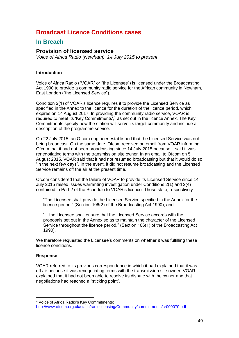# **Broadcast Licence Conditions cases**

# **In Breach**

# **Provision of licensed service**

*Voice of Africa Radio (Newham), 14 July 2015 to present*

# **Introduction**

Voice of Africa Radio ("VOAR" or "the Licensee") is licensed under the Broadcasting Act 1990 to provide a community radio service for the African community in Newham, East London ("the Licensed Service").

Condition 2(1) of VOAR's licence requires it to provide the Licensed Service as specified in the Annex to the licence for the duration of the licence period, which expires on 14 August 2017. In providing the community radio service, VOAR is required to meet its 'Key Commitments', $1$  as set out in the licence Annex. The Key Commitments specify how the station will serve its target community and include a description of the programme service.

On 22 July 2015, an Ofcom engineer established that the Licensed Service was not being broadcast. On the same date, Ofcom received an email from VOAR informing Ofcom that it had not been broadcasting since 14 July 2015 because it said it was renegotiating terms with the transmission site owner. In an email to Ofcom on 5 August 2015, VOAR said that it had not resumed broadcasting but that it would do so "in the next few days". In the event, it did not resume broadcasting and the Licensed Service remains off the air at the present time.

Ofcom considered that the failure of VOAR to provide its Licensed Service since 14 July 2015 raised issues warranting investigation under Conditions 2(1) and 2(4) contained in Part 2 of the Schedule to VOAR's licence. These state, respectively:

"The Licensee shall provide the Licensed Service specified in the Annex for the licence period." (Section 106(2) of the Broadcasting Act 1990); and

"…the Licensee shall ensure that the Licensed Service accords with the proposals set out in the Annex so as to maintain the character of the Licensed Service throughout the licence period." (Section 106(1) of the Broadcasting Act 1990).

We therefore requested the Licensee's comments on whether it was fulfilling these licence conditions.

# **Response**

VOAR referred to its previous correspondence in which it had explained that it was off air because it was renegotiating terms with the transmission site owner. VOAR explained that it had not been able to resolve its dispute with the owner and that negotiations had reached a "sticking point".

<sup>1</sup> <sup>1</sup> Voice of Africa Radio's Key Commitments: <http://www.ofcom.org.uk/static/radiolicensing/Community/commitments/cr000070.pdf>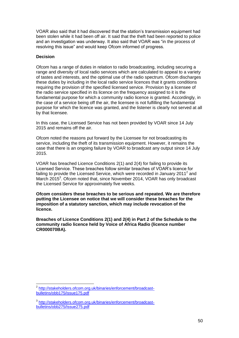VOAR also said that it had discovered that the station's transmission equipment had been stolen while it had been off air. It said that the theft had been reported to police and an investigation was underway. It also said that VOAR was "in the process of resolving this issue" and would keep Ofcom informed of progress.

# **Decision**

Ofcom has a range of duties in relation to radio broadcasting, including securing a range and diversity of local radio services which are calculated to appeal to a variety of tastes and interests, and the optimal use of the radio spectrum. Ofcom discharges these duties by including in the local radio service licences that it grants conditions requiring the provision of the specified licensed service. Provision by a licensee of the radio service specified in its licence on the frequency assigned to it is the fundamental purpose for which a community radio licence is granted. Accordingly, in the case of a service being off the air, the licensee is not fulfilling the fundamental purpose for which the licence was granted, and the listener is clearly not served at all by that licensee.

In this case, the Licensed Service has not been provided by VOAR since 14 July 2015 and remains off the air.

Ofcom noted the reasons put forward by the Licensee for not broadcasting its service, including the theft of its transmission equipment. However, it remains the case that there is an ongoing failure by VOAR to broadcast any output since 14 July 2015.

VOAR has breached Licence Conditions 2(1) and 2(4) for failing to provide its Licensed Service. These breaches follow similar breaches of VOAR's licence for failing to provide the Licensed Service, which were recorded in January 2011<sup>2</sup> and March 2015<sup>3</sup>. Ofcom noted that, since November 2014, VOAR has only broadcast the Licensed Service for approximately five weeks.

**Ofcom considers these breaches to be serious and repeated. We are therefore putting the Licensee on notice that we will consider these breaches for the imposition of a statutory sanction, which may include revocation of the licence.** 

**Breaches of Licence Conditions 2(1) and 2(4) in Part 2 of the Schedule to the community radio licence held by Voice of Africa Radio (licence number CR000070BA).**

<sup>1</sup> <sup>2</sup> [http://stakeholders.ofcom.org.uk/binaries/enforcement/broadcast](http://stakeholders.ofcom.org.uk/binaries/enforcement/broadcast-bulletins/obb175/issue175.pdf)[bulletins/obb175/issue175.pdf](http://stakeholders.ofcom.org.uk/binaries/enforcement/broadcast-bulletins/obb175/issue175.pdf)

<sup>3</sup> [http://stakeholders.ofcom.org.uk/binaries/enforcement/broadcast](http://stakeholders.ofcom.org.uk/binaries/enforcement/broadcast-bulletins/obb275/Issue275.pdf)[bulletins/obb275/Issue275.pdf](http://stakeholders.ofcom.org.uk/binaries/enforcement/broadcast-bulletins/obb275/Issue275.pdf)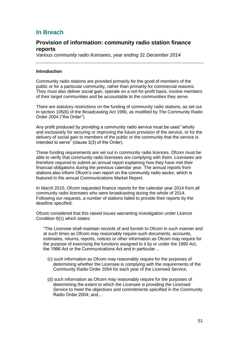# **In Breach**

# **Provision of information: community radio station finance reports**

*Various community radio licensees, year ending 31 December 2014* 

#### **Introduction**

Community radio stations are provided primarily for the good of members of the public or for a particular community, rather than primarily for commercial reasons. They must also deliver social gain, operate on a not-for-profit basis, involve members of their target communities and be accountable to the communities they serve.

There are statutory restrictions on the funding of community radio stations, as set out in section 105(6) of the Broadcasting Act 1990, as modified by The Community Radio Order 2004 ("the Order").

Any profit produced by providing a community radio service must be used "wholly and exclusively for securing or improving the future provision of the service, or for the delivery of social gain to members of the public or the community that the service is intended to serve" (clause 3(3) of the Order).

These funding requirements are set out in community radio licences. Ofcom must be able to verify that community radio licensees are complying with them. Licensees are therefore required to submit an annual report explaining how they have met their financial obligations during the previous calendar year. The annual reports from stations also inform Ofcom's own report on the community radio sector, which is featured in the annual Communications Market Report.

In March 2015, Ofcom requested finance reports for the calendar year 2014 from all community radio licensees who were broadcasting during the whole of 2014. Following our requests, a number of stations failed to provide their reports by the deadline specified.

Ofcom considered that this raised issues warranting investigation under Licence Condition 9(1) which states:

"The Licensee shall maintain records of and furnish to Ofcom in such manner and at such times as Ofcom may reasonably require such documents, accounts, estimates, returns, reports, notices or other information as Ofcom may require for the purpose of exercising the functions assigned to it by or under the 1990 Act, the 1996 Act or the Communications Act and in particular…

- (c) such information as Ofcom may reasonably require for the purposes of determining whether the Licensee is complying with the requirements of the Community Radio Order 2004 for each year of the Licensed Service;
- (d) such information as Ofcom may reasonably require for the purposes of determining the extent to which the Licensee is providing the Licensed Service to meet the objectives and commitments specified in the Community Radio Order 2004; and…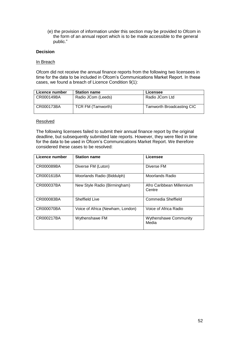(e) the provision of information under this section may be provided to Ofcom in the form of an annual report which is to be made accessible to the general public."

# **Decision**

#### In Breach

Ofcom did not receive the annual finance reports from the following two licensees in time for the data to be included in Ofcom's Communications Market Report. In these cases, we found a breach of Licence Condition 9(1):

| Licence number | <b>Station name</b> | Licensee                  |
|----------------|---------------------|---------------------------|
| l CR000149BA   | Radio JCom (Leeds)  | Radio JCom Ltd            |
| CR000173BA     | TCR FM (Tamworth)   | Tamworth Broadcasting CIC |

### Resolved

The following licensees failed to submit their annual finance report by the original deadline, but subsequently submitted late reports. However, they were filed in time for the data to be used in Ofcom's Communications Market Report. We therefore considered these cases to be resolved:

| Licence number | <b>Station name</b>              | Licensee                              |
|----------------|----------------------------------|---------------------------------------|
| CR000089BA     | Diverse FM (Luton)               | Diverse FM                            |
| CR000161BA     | Moorlands Radio (Biddulph)       | Moorlands Radio                       |
| CR000037BA     | New Style Radio (Birmingham)     | Afro Caribbean Millennium<br>Centre   |
| CR000083BA     | <b>Sheffield Live</b>            | Commedia Sheffield                    |
| CR000070BA     | Voice of Africa (Newham, London) | Voice of Africa Radio                 |
| CR000217BA     | Wythenshawe FM                   | <b>Wythenshawe Community</b><br>Media |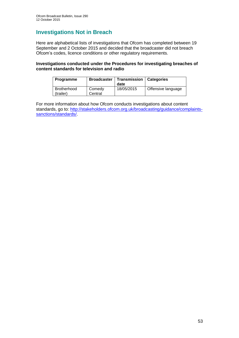# **Investigations Not in Breach**

Here are alphabetical lists of investigations that Ofcom has completed between 19 September and 2 October 2015 and decided that the broadcaster did not breach Ofcom's codes, licence conditions or other regulatory requirements.

### **Investigations conducted under the Procedures for investigating breaches of content standards for television and radio**

| Programme                | <b>Broadcaster</b> | <b>Transmission</b><br>date | Categories         |
|--------------------------|--------------------|-----------------------------|--------------------|
| Brotherhood<br>(trailer) | Comedy<br>Central  | 18/05/2015                  | Offensive language |

For more information about how Ofcom conducts investigations about content standards, go to: [http://stakeholders.ofcom.org.uk/broadcasting/guidance/complaints](http://stakeholders.ofcom.org.uk/broadcasting/guidance/complaints-sanctions/standards/)[sanctions/standards/.](http://stakeholders.ofcom.org.uk/broadcasting/guidance/complaints-sanctions/standards/)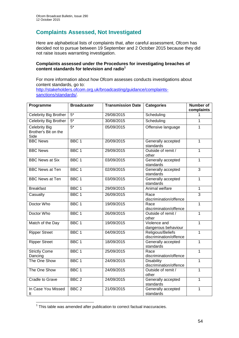# **Complaints Assessed, Not Investigated**

Here are alphabetical lists of complaints that, after careful assessment, Ofcom has decided not to pursue between 19 September and 2 October 2015 because they did not raise issues warranting investigation.

# **Complaints assessed under the Procedures for investigating breaches of content standards for television and radio<sup>1</sup>**

For more information about how Ofcom assesses conducts investigations about content standards, go to: [http://stakeholders.ofcom.org.uk/broadcasting/guidance/complaints](http://stakeholders.ofcom.org.uk/broadcasting/guidance/complaints-sanctions/standards/)[sanctions/standards/.](http://stakeholders.ofcom.org.uk/broadcasting/guidance/complaints-sanctions/standards/)

| Programme                                     | <b>Broadcaster</b> | <b>Transmission Date</b> | <b>Categories</b>                           | <b>Number of</b><br>complaints |
|-----------------------------------------------|--------------------|--------------------------|---------------------------------------------|--------------------------------|
| Celebrity Big Brother                         | $5*$               | 29/08/2015               | Scheduling                                  | 1                              |
| <b>Celebrity Big Brother</b>                  | $5*$               | 30/08/2015               | Scheduling                                  | $\mathbf{1}$                   |
| Celebrity Big<br>Brother's Bit on the<br>Side | $\overline{5^*}$   | 05/09/2015               | Offensive language                          | 1                              |
| <b>BBC News</b>                               | BBC <sub>1</sub>   | 20/09/2015               | Generally accepted<br>standards             | $\mathbf{1}$                   |
| <b>BBC News</b>                               | BBC <sub>1</sub>   | 29/09/2015               | Outside of remit /<br>other                 | $\overline{1}$                 |
| <b>BBC News at Six</b>                        | BBC <sub>1</sub>   | 03/09/2015               | Generally accepted<br>standards             | $\mathbf{1}$                   |
| <b>BBC News at Ten</b>                        | BBC <sub>1</sub>   | 02/09/2015               | Generally accepted<br>standards             | $\overline{3}$                 |
| <b>BBC News at Ten</b>                        | BBC <sub>1</sub>   | 03/09/2015               | Generally accepted<br>standards             | $\mathbf{1}$                   |
| <b>Breakfast</b>                              | BBC <sub>1</sub>   | 29/09/2015               | Animal welfare                              | $\mathbf{1}$                   |
| Casualty                                      | BBC <sub>1</sub>   | 26/09/2015               | Race<br>discrimination/offence              | 3                              |
| Doctor Who                                    | BBC <sub>1</sub>   | 19/09/2015               | Race<br>discrimination/offence              | $\overline{1}$                 |
| Doctor Who                                    | BBC <sub>1</sub>   | 26/09/2015               | Outside of remit /<br>other                 | $\mathbf{1}$                   |
| Match of the Day                              | BBC <sub>1</sub>   | 19/09/2015               | Violence and<br>dangerous behaviour         | $\mathbf{1}$                   |
| <b>Ripper Street</b>                          | BBC <sub>1</sub>   | 04/09/2015               | Religious/Beliefs<br>discrimination/offence | $\overline{1}$                 |
| <b>Ripper Street</b>                          | BBC <sub>1</sub>   | 18/09/2015               | Generally accepted<br>standards             | $\overline{1}$                 |
| <b>Strictly Come</b><br>Dancing               | BBC <sub>1</sub>   | 25/09/2015               | Race<br>discrimination/offence              | $\mathbf{1}$                   |
| The One Show                                  | BBC <sub>1</sub>   | 24/09/2015               | <b>Disability</b><br>discrimination/offence | $\mathbf{1}$                   |
| The One Show                                  | BBC <sub>1</sub>   | 24/09/2015               | Outside of remit /<br>other                 | $\mathbf{1}$                   |
| Cradle to Grave                               | BBC <sub>2</sub>   | 24/09/2015               | Generally accepted<br>standards             | $\overline{1}$                 |
| In Case You Missed<br>It                      | BBC <sub>2</sub>   | 21/09/2015               | Generally accepted<br>standards             | $\mathbf{1}$                   |

1 This table was amended after publication to correct factual inaccuracies.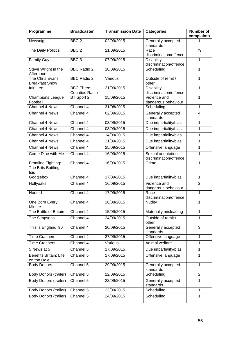| Programme                                         | <b>Broadcaster</b>                        | <b>Transmission Date</b> | <b>Categories</b>                            | <b>Number of</b><br>complaints |
|---------------------------------------------------|-------------------------------------------|--------------------------|----------------------------------------------|--------------------------------|
| Newsnight                                         | BBC <sub>2</sub>                          | 02/09/2015               | Generally accepted<br>standards              | 1                              |
| The Daily Politics                                | BBC <sub>2</sub>                          | 21/09/2015               | Race<br>discrimination/offence               | 79                             |
| <b>Family Guy</b>                                 | BBC <sub>3</sub>                          | 07/09/2015               | <b>Disability</b><br>discrimination/offence  | 1                              |
| Steve Wright in the<br>Afternoon                  | <b>BBC Radio 2</b>                        | 18/09/2015               | Scheduling                                   | $\mathbf{1}$                   |
| The Chris Evans<br><b>Breakfast Show</b>          | <b>BBC Radio 2</b>                        | Various                  | Outside of remit /<br>other                  | 1                              |
| lain Lee                                          | <b>BBC Three</b><br><b>Counties Radio</b> | 21/09/2015               | <b>Disability</b><br>discrimination/offence  | $\mathbf{1}$                   |
| Champions League<br>Football                      | BT Sport 2                                | 15/09/2015               | Violence and<br>dangerous behaviour          | 1                              |
| Channel 4 News                                    | Channel 4                                 | 31/08/2015               | Scheduling                                   | 1                              |
| Channel 4 News                                    | Channel 4                                 | 02/09/2015               | Generally accepted<br>standards              | $\overline{\mathbf{4}}$        |
| Channel 4 News                                    | Channel 4                                 | 03/09/2015               | Due impartiality/bias                        | 1                              |
| <b>Channel 4 News</b>                             | Channel 4                                 | 03/09/2015               | Due impartiality/bias                        | 1                              |
| <b>Channel 4 News</b>                             | Channel 4                                 | 14/09/2015               | Due impartiality/bias                        | $\mathbf{1}$                   |
| Channel 4 News                                    | Channel 4                                 | 21/09/2015               | Due impartiality/bias                        | 1                              |
| <b>Channel 4 News</b>                             | Channel 4                                 | 25/09/2015               | Offensive language                           | 1                              |
| Come Dine with Me                                 | Channel 4                                 | 16/09/2015               | Sexual orientation<br>discrimination/offence | 1                              |
| Frontline Fighting:<br>The Brits Battling<br>Isis | Channel 4                                 | 16/09/2015               | Crime                                        | 1                              |
| Gogglebox                                         | Channel 4                                 | 17/09/2015               | Due impartiality/bias                        | $\mathbf{1}$                   |
| Hollyoaks                                         | Channel 4                                 | 16/09/2015               | Violence and<br>dangerous behaviour          | $\overline{2}$                 |
| Hunted                                            | Channel 4                                 | 17/09/2015               | Race<br>discrimination/offence               | $\mathbf{1}$                   |
| One Born Every<br>Minute                          | Channel 4                                 | 26/08/2015               | <b>Nudity</b>                                | 1                              |
| The Battle of Britain                             | Channel 4                                 | 15/09/2015               | Materially misleading                        | 1                              |
| The Simpsons                                      | Channel 4                                 | 24/09/2015               | Outside of remit /<br>other                  | 1                              |
| This is England '90                               | Channel 4                                 | 20/09/2015               | Generally accepted<br>standards              | $\overline{3}$                 |
| <b>Time Crashers</b>                              | Channel 4                                 | 27/09/2015               | Offensive language                           | 1                              |
| <b>Time Crashers</b>                              | Channel 4                                 | Various                  | Animal welfare                               | 1                              |
| 5 News at 5                                       | Channel 5                                 | 17/09/2015               | Due impartiality/bias                        | $\mathbf{1}$                   |
| Benefits Britain: Life<br>on the Dole             | Channel 5                                 | 17/09/2015               | Offensive language                           | 1                              |
| <b>Body Donors</b>                                | Channel 5                                 | 29/09/2015               | Generally accepted<br>standards              | $\mathbf{1}$                   |
| <b>Body Donors (trailer)</b>                      | Channel 5                                 | 22/09/2015               | Scheduling                                   | $\overline{2}$                 |
| <b>Body Donors (trailer)</b>                      | Channel 5                                 | 23/09/2015               | Generally accepted<br>standards              | 1                              |
| Body Donors (trailer)                             | Channel 5                                 | 23/09/2015               | Scheduling                                   | $\mathbf{1}$                   |
| <b>Body Donors (trailer)</b>                      | Channel 5                                 | 24/09/2015               | Scheduling                                   | 1                              |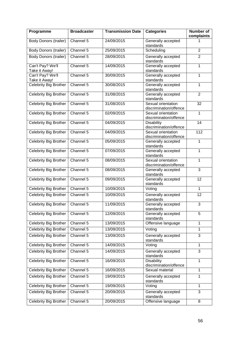| Programme                         | <b>Broadcaster</b> | <b>Transmission Date</b> | <b>Categories</b>                            | Number of<br>complaints |
|-----------------------------------|--------------------|--------------------------|----------------------------------------------|-------------------------|
| <b>Body Donors (trailer)</b>      | Channel 5          | 24/09/2015               | Generally accepted<br>standards              | 1                       |
| <b>Body Donors (trailer)</b>      | Channel 5          | 25/09/2015               | Scheduling                                   | $\overline{2}$          |
| <b>Body Donors (trailer)</b>      | Channel 5          | 28/09/2015               | Generally accepted<br>standards              | $\overline{2}$          |
| Can't Pay? We'll<br>Take it Away! | Channel 5          | 14/09/2015               | Generally accepted<br>standards              | 1                       |
| Can't Pay? We'll<br>Take it Away! | Channel 5          | 30/09/2015               | Generally accepted<br>standards              | 1                       |
| <b>Celebrity Big Brother</b>      | Channel 5          | 30/08/2015               | Generally accepted<br>standards              | 1                       |
| <b>Celebrity Big Brother</b>      | Channel 5          | 31/08/2015               | Generally accepted<br>standards              | $\overline{2}$          |
| <b>Celebrity Big Brother</b>      | Channel 5          | 31/08/2015               | Sexual orientation<br>discrimination/offence | 32                      |
| Celebrity Big Brother             | Channel 5          | 02/09/2015               | Sexual orientation<br>discrimination/offence | $\mathbf{1}$            |
| <b>Celebrity Big Brother</b>      | Channel 5          | 04/09/2015               | <b>Disability</b><br>discrimination/offence  | 14                      |
| <b>Celebrity Big Brother</b>      | Channel 5          | 04/09/2015               | Sexual orientation<br>discrimination/offence | 112                     |
| <b>Celebrity Big Brother</b>      | Channel 5          | 05/09/2015               | Generally accepted<br>standards              | 1                       |
| <b>Celebrity Big Brother</b>      | Channel 5          | 07/09/2015               | Generally accepted<br>standards              | $\mathbf{1}$            |
| Celebrity Big Brother             | Channel 5          | 08/09/2015               | Sexual orientation<br>discrimination/offence | 1                       |
| <b>Celebrity Big Brother</b>      | Channel 5          | 08/09/2015               | Generally accepted<br>standards              | 3                       |
| <b>Celebrity Big Brother</b>      | Channel 5          | 09/09/2015               | Generally accepted<br>standards              | 12                      |
| Celebrity Big Brother             | Channel 5          | 10/09/2015               | Voting                                       | $\mathbf{1}$            |
| <b>Celebrity Big Brother</b>      | Channel 5          | 10/09/2015               | Generally accepted<br>standards              | 12                      |
| Celebrity Big Brother             | Channel 5          | 11/09/2015               | Generally accepted<br>standards              | $\overline{3}$          |
| Celebrity Big Brother             | Channel 5          | 12/09/2015               | Generally accepted<br>standards              | 5                       |
| Celebrity Big Brother             | Channel 5          | 13/09/2015               | Offensive language                           | 1                       |
| Celebrity Big Brother             | Channel 5          | 13/09/2015               | Voting                                       | $\mathbf{1}$            |
| <b>Celebrity Big Brother</b>      | Channel 5          | 13/09/2015               | Generally accepted<br>standards              | 3                       |
| <b>Celebrity Big Brother</b>      | Channel 5          | 14/09/2015               | Voting                                       | $\mathbf{1}$            |
| Celebrity Big Brother             | Channel 5          | 14/09/2015               | Generally accepted<br>standards              | 3                       |
| Celebrity Big Brother             | Channel 5          | 16/09/2015               | <b>Disability</b><br>discrimination/offence  | $\mathbf{1}$            |
| Celebrity Big Brother             | Channel 5          | 16/09/2015               | Sexual material                              | 1                       |
| Celebrity Big Brother             | Channel 5          | 19/09/2015               | Generally accepted<br>standards              | 1                       |
| Celebrity Big Brother             | Channel 5          | 19/09/2015               | Voting                                       | 1                       |
| Celebrity Big Brother             | Channel 5          | 20/09/2015               | Generally accepted<br>standards              | 3                       |
| Celebrity Big Brother             | Channel 5          | 20/09/2015               | Offensive language                           | 8                       |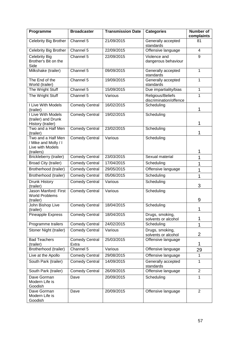| Programme                                                      | <b>Broadcaster</b>             | <b>Transmission Date</b> | <b>Categories</b>                           | <b>Number of</b><br>complaints |
|----------------------------------------------------------------|--------------------------------|--------------------------|---------------------------------------------|--------------------------------|
| Celebrity Big Brother                                          | Channel 5                      | 21/09/2015               | Generally accepted<br>standards             | 81                             |
| <b>Celebrity Big Brother</b>                                   | Channel 5                      | 22/09/2015               | Offensive language                          | 4                              |
| <b>Celebrity Big</b><br>Brother's Bit on the<br>Side           | Channel 5                      | 22/09/2015               | Violence and<br>dangerous behaviour         | 9                              |
| Milkshake (trailer)                                            | Channel 5                      | 09/09/2015               | Generally accepted<br>standards             | $\mathbf{1}$                   |
| The End of the<br>World (trailer)                              | Channel 5                      | 19/09/2015               | Generally accepted<br>standards             | 1                              |
| The Wright Stuff                                               | Channel 5                      | 15/09/2015               | Due impartiality/bias                       | 1                              |
| The Wright Stuff                                               | Channel 5                      | Various                  | Religious/Beliefs<br>discrimination/offence | 1                              |
| I Live With Models<br>(trailer)                                | <b>Comedy Central</b>          | 16/02/2015               | Scheduling                                  | 1                              |
| I Live With Models<br>(trailer) and Drunk                      | <b>Comedy Central</b>          | 19/02/2015               | Scheduling                                  |                                |
| History (trailer)                                              |                                |                          |                                             | 1                              |
| Two and a Half Men<br>(trailer)                                | <b>Comedy Central</b>          | 23/02/2015               | Scheduling                                  | 1                              |
| Two and a Half Men<br>/ Mike and Molly / I<br>Live with Models | <b>Comedy Central</b>          | Various                  | Scheduling                                  |                                |
| (trailers)                                                     |                                |                          |                                             | 1                              |
| Brickleberry (trailer)                                         | <b>Comedy Central</b>          | 23/03/2015               | Sexual material                             | 1                              |
| <b>Broad City (trailer)</b>                                    | <b>Comedy Central</b>          | 17/04/2015               | Scheduling                                  | 1                              |
| Brotherhood (trailer)                                          | <b>Comedy Central</b>          | 29/05/2015               | Offensive language                          | 1                              |
| Brotherhood (trailer)                                          | <b>Comedy Central</b>          | 05/06/2015               | Scheduling                                  | 1                              |
| Drunk History<br>(trailer)                                     | <b>Comedy Central</b>          | Various                  | Scheduling                                  | 3                              |
| Jason Manford: First<br><b>World Problems</b><br>(trailer)     | Comedy Central                 | Various                  | Scheduling                                  | 9                              |
| John Bishop Live<br>(trailer)                                  | <b>Comedy Central</b>          | 18/04/2015               | Scheduling                                  | L                              |
| Pineapple Express                                              | <b>Comedy Central</b>          | 18/04/2015               | Drugs, smoking,<br>solvents or alcohol      | 1                              |
| Programme trailers                                             | <b>Comedy Central</b>          | 24/02/2015               | Scheduling                                  | 1                              |
| Stoner Night (trailer)                                         | <b>Comedy Central</b>          | Various                  | Drugs, smoking,<br>solvents or alcohol      | $\overline{2}$                 |
| <b>Bad Teachers</b><br>(trailer)                               | <b>Comedy Central</b><br>Extra | 25/03/2015               | Offensive language                          | 1                              |
| Brotherhood (trailer)                                          | Channel 5                      | Various                  | Offensive language                          | 29                             |
| Live at the Apollo                                             | <b>Comedy Central</b>          | 29/08/2015               | Offensive language                          | 1                              |
| South Park (trailer)                                           | <b>Comedy Central</b>          | 14/09/2015               | Generally accepted<br>standards             | 1                              |
| South Park (trailer)                                           | <b>Comedy Central</b>          | 26/09/2015               | Offensive language                          | $\overline{2}$                 |
| Dave Gorman<br>Modern Life is<br>Goodish                       | Dave                           | 20/09/2015               | Scheduling                                  | 1                              |
| Dave Gorman<br>Modern Life is<br>Goodish                       | Dave                           | 20/09/2015               | Offensive language                          | $\overline{2}$                 |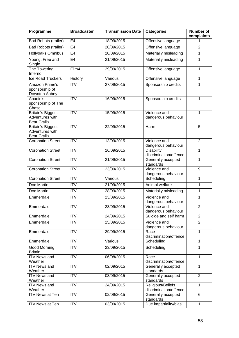| Programme                                                         | <b>Broadcaster</b>      | <b>Transmission Date</b> | <b>Categories</b>                           | <b>Number of</b><br>complaints |
|-------------------------------------------------------------------|-------------------------|--------------------------|---------------------------------------------|--------------------------------|
| <b>Bad Robots (trailer)</b>                                       | E <sub>4</sub>          | 18/09/2015               | Offensive language                          | 1                              |
| <b>Bad Robots (trailer)</b>                                       | E4                      | 20/09/2015               | Offensive language                          | $\overline{2}$                 |
| <b>Hollyoaks Omnibus</b>                                          | E <sub>4</sub>          | 20/09/2015               | Materially misleading                       | 1                              |
| Young, Free and<br>Single                                         | E <sub>4</sub>          | 21/09/2015               | Materially misleading                       | 1                              |
| The Towering<br>Inferno                                           | Film4                   | 29/09/2015               | Offensive language                          | 1                              |
| <b>Ice Road Truckers</b>                                          | History                 | Various                  | Offensive language                          | $\overline{1}$                 |
| Amazon Prime's<br>sponsorship of<br>Downton Abbey                 | <b>ITV</b>              | 27/09/2015               | Sponsorship credits                         | 1                              |
| Anadin's<br>sponsorship of The<br>Chase                           | <b>ITV</b>              | 16/09/2015               | Sponsorship credits                         | 1                              |
| <b>Britain's Biggest</b><br>Adventures with<br><b>Bear Grylls</b> | <b>ITV</b>              | 15/09/2015               | Violence and<br>dangerous behaviour         | 1                              |
| <b>Britain's Biggest</b><br>Adventures with<br><b>Bear Grylls</b> | <b>ITV</b>              | 22/09/2015               | Harm                                        | 5                              |
| <b>Coronation Street</b>                                          | $\overline{\text{IV}}$  | 13/09/2015               | Violence and<br>dangerous behaviour         | $\overline{2}$                 |
| <b>Coronation Street</b>                                          | ITV                     | 16/09/2015               | <b>Disability</b><br>discrimination/offence | $\mathbf{1}$                   |
| <b>Coronation Street</b>                                          | $\overline{IV}$         | 21/09/2015               | Generally accepted<br>standards             | $\overline{1}$                 |
| <b>Coronation Street</b>                                          | <b>ITV</b>              | 23/09/2015               | Violence and<br>dangerous behaviour         | 9                              |
| <b>Coronation Street</b>                                          | $\overline{\text{ITV}}$ | Various                  | Scheduling                                  | 1                              |
| Doc Martin                                                        | <b>ITV</b>              | 21/09/2015               | Animal welfare                              | 1                              |
| Doc Martin                                                        | $\overline{IV}$         | 28/09/2015               | Materially misleading                       | $\mathbf{1}$                   |
| Emmerdale                                                         | <b>ITV</b>              | 23/09/2015               | Violence and<br>dangerous behaviour         | 1                              |
| Emmerdale                                                         | <b>ITV</b>              | 23/09/2015               | Violence and<br>dangerous behaviour         | $\overline{2}$                 |
| Emmerdale                                                         | <b>ITV</b>              | 24/09/2015               | Suicide and self harm                       | $\overline{2}$                 |
| Emmerdale                                                         | <b>ITV</b>              | 25/09/2015               | Violence and<br>dangerous behaviour         | $\overline{2}$                 |
| Emmerdale                                                         | <b>ITV</b>              | 29/09/2015               | Race<br>discrimination/offence              | 1                              |
| Emmerdale                                                         | <b>ITV</b>              | Various                  | Scheduling                                  | 1                              |
| Good Morning<br><b>Britain</b>                                    | <b>ITV</b>              | 23/09/2015               | Scheduling                                  | 1                              |
| <b>ITV News and</b><br>Weather                                    | <b>ITV</b>              | 06/08/2015               | Race<br>discrimination/offence              | 1                              |
| <b>ITV News and</b><br>Weather                                    | <b>ITV</b>              | 02/09/2015               | Generally accepted<br>standards             | 1                              |
| <b>ITV News and</b><br>Weather                                    | <b>ITV</b>              | 03/09/2015               | Generally accepted<br>standards             | $\overline{2}$                 |
| <b>ITV News and</b><br>Weather                                    | $\overline{IV}$         | 24/09/2015               | Religious/Beliefs<br>discrimination/offence | 1                              |
| <b>ITV News at Ten</b>                                            | $\overline{IV}$         | 02/09/2015               | Generally accepted<br>standards             | 6                              |
| ITV News at Ten                                                   | <b>ITV</b>              | 03/09/2015               | Due impartiality/bias                       | $\mathbf{1}$                   |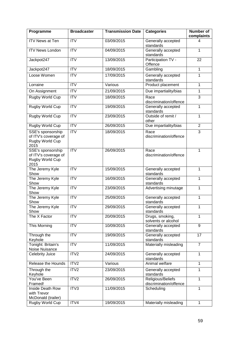| Programme                                                            | <b>Broadcaster</b> | <b>Transmission Date</b> | <b>Categories</b>                           | <b>Number of</b><br>complaints |
|----------------------------------------------------------------------|--------------------|--------------------------|---------------------------------------------|--------------------------------|
| <b>ITV News at Ten</b>                                               | <b>ITV</b>         | 03/09/2015               | Generally accepted<br>standards             | 4                              |
| <b>ITV News London</b>                                               | <b>ITV</b>         | 04/09/2015               | Generally accepted<br>standards             | 1                              |
| Jackpot247                                                           | $\overline{IV}$    | 13/09/2015               | Participation TV -<br>Offence               | $\overline{22}$                |
| Jackpot247                                                           | <b>ITV</b>         | 18/09/2015               | Gambling                                    | $\mathbf{1}$                   |
| Loose Women                                                          | ITV                | 17/09/2015               | Generally accepted<br>standards             | $\mathbf{1}$                   |
| Lorraine                                                             | <b>ITV</b>         | Various                  | Product placement                           | 1                              |
| On Assignment                                                        | <b>ITV</b>         | 21/09/2015               | Due impartiality/bias                       | $\mathbf{1}$                   |
| Rugby World Cup                                                      | <b>ITV</b>         | 18/09/2015               | Race<br>discrimination/offence              | 3                              |
| <b>Rugby World Cup</b>                                               | ITV                | 19/09/2015               | Generally accepted<br>standards             | $\overline{1}$                 |
| Rugby World Cup                                                      | <b>ITV</b>         | 23/09/2015               | Outside of remit /<br>other                 | $\mathbf{1}$                   |
| Rugby World Cup                                                      | <b>ITV</b>         | 26/09/2015               | Due impartiality/bias                       | $\overline{2}$                 |
| SSE's sponsorship<br>of ITV's coverage of<br>Rugby World Cup<br>2015 | ITV                | 18/09/2015               | Race<br>discrimination/offence              | 3                              |
| SSE's sponsorship<br>of ITV's coverage of<br>Rugby World Cup<br>2015 | ITV                | 26/09/2015               | Race<br>discrimination/offence              | 1                              |
| The Jeremy Kyle<br>Show                                              | <b>ITV</b>         | 15/09/2015               | Generally accepted<br>standards             | 1                              |
| The Jeremy Kyle<br>Show                                              | <b>ITV</b>         | 16/09/2015               | Generally accepted<br>standards             | $\mathbf{1}$                   |
| The Jeremy Kyle<br>Show                                              | <b>ITV</b>         | 23/09/2015               | Advertising minutage                        | $\mathbf{1}$                   |
| The Jeremy Kyle<br>Show                                              | <b>ITV</b>         | 25/09/2015               | Generally accepted<br>standards             | $\mathbf{1}$                   |
| The Jeremy Kyle<br>Show                                              | <b>ITV</b>         | 29/09/2015               | Generally accepted<br>standards             | 1                              |
| The X Factor                                                         | <b>ITV</b>         | 20/09/2015               | Drugs, smoking,<br>solvents or alcohol      | 1                              |
| This Morning                                                         | <b>ITV</b>         | 10/09/2015               | Generally accepted<br>standards             | 9                              |
| Through the<br>Keyhole                                               | <b>ITV</b>         | 19/09/2015               | Generally accepted<br>standards             | 17                             |
| Tonight: Britain's<br>Noise Nuisance                                 | <b>ITV</b>         | 11/09/2015               | Materially misleading                       | $\overline{7}$                 |
| Celebrity Juice                                                      | ITV2               | 24/09/2015               | Generally accepted<br>standards             | $\mathbf{1}$                   |
| Release the Hounds                                                   | ITV2               | Various                  | Animal welfare                              | 1                              |
| Through the<br>Keyhole                                               | ITV2               | 23/09/2015               | Generally accepted<br>standards             | $\mathbf{1}$                   |
| You've Been<br>Framed!                                               | ITV2               | 26/09/2015               | Religious/Beliefs<br>discrimination/offence | $\mathbf{1}$                   |
| Inside Death Row<br>with Trevor<br>McDonald (trailer)                | ITV3               | 11/09/2015               | Scheduling                                  | 1                              |
| Rugby World Cup                                                      | ITV4               | 19/09/2015               | Materially misleading                       | 1                              |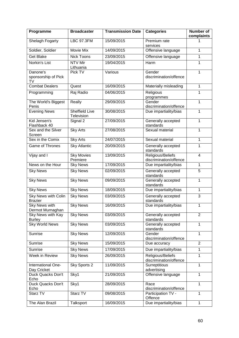| Programme                                | <b>Broadcaster</b>                  | <b>Transmission Date</b> | <b>Categories</b>                           | Number of<br>complaints |
|------------------------------------------|-------------------------------------|--------------------------|---------------------------------------------|-------------------------|
| Shelagh Fogarty                          | <b>LBC 97.3FM</b>                   | 15/09/2015               | Premium rate<br>services                    | 1                       |
| Soldier, Soldier                         | Movie Mix                           | 14/09/2015               | Offensive language                          | 1                       |
| <b>Get Blake</b>                         | <b>Nick Toons</b>                   | 23/09/2015               | Offensive language                          | $\mathbf{1}$            |
| Norkin's List                            | NTV Mir<br>Lithuania                | 19/04/2015               | Harm                                        | 1                       |
| Danone's<br>sponsorship of Pick<br>TV    | Pick TV                             | Various                  | Gender<br>discrimination/offence            | $\mathbf{1}$            |
| <b>Combat Dealers</b>                    | Quest                               | 16/09/2015               | Materially misleading                       | 1                       |
| Programming                              | Raj Radio                           | 04/06/2015               | Religious<br>programmes                     | 1                       |
| The World's Biggest<br>Penis             | Really                              | 29/09/2015               | Gender<br>discrimination/offence            | $\mathbf{1}$            |
| <b>Evening News</b>                      | <b>Sheffield Live</b><br>Television | 30/08/2015               | Due impartiality/bias                       | $\overline{1}$          |
| Kid Jensen's<br>Flashback 40             | Signal 2                            | 27/09/2015               | Generally accepted<br>standards             | $\mathbf{1}$            |
| Sex and the Silver<br>Screen             | <b>Sky Arts</b>                     | 27/08/2015               | Sexual material                             | $\mathbf{1}$            |
| Sex in the Comix                         | <b>Sky Arts</b>                     | 24/07/2015               | Sexual material                             | $\mathbf{1}$            |
| Game of Thrones                          | <b>Sky Atlantic</b>                 | 20/09/2015               | Generally accepted<br>standards             | 1                       |
| Vijay and I                              | <b>Sky Movies</b><br>Premiere       | 13/09/2015               | Religious/Beliefs<br>discrimination/offence | $\overline{\mathbf{4}}$ |
| News on the Hour                         | <b>Sky News</b>                     | 17/09/2015               | Due impartiality/bias                       | 1                       |
| <b>Sky News</b>                          | <b>Sky News</b>                     | 02/09/2015               | Generally accepted<br>standards             | $\overline{5}$          |
| <b>Sky News</b>                          | <b>Sky News</b>                     | 09/09/2015               | Generally accepted<br>standards             | 1                       |
| <b>Sky News</b>                          | <b>Sky News</b>                     | 18/09/2015               | Due impartiality/bias                       | 1                       |
| Sky News with Colin<br><b>Brazier</b>    | <b>Sky News</b>                     | 03/09/2015               | Generally accepted<br>standards             | 3                       |
| <b>Sky News with</b><br>Dermot Murnaghan | <b>Sky News</b>                     | 16/09/2015               | Due impartiality/bias                       | 1                       |
| Sky News with Kay<br><b>Burley</b>       | <b>Sky News</b>                     | 03/09/2015               | Generally accepted<br>standards             | $\overline{2}$          |
| <b>Sky World News</b>                    | <b>Sky News</b>                     | 03/09/2015               | Generally accepted<br>standards             | 1                       |
| Sunrise                                  | <b>Sky News</b>                     | 12/09/2015               | Gender<br>discrimination/offence            | $\mathbf{1}$            |
| Sunrise                                  | <b>Sky News</b>                     | 15/09/2015               | Due accuracy                                | $\overline{2}$          |
| Sunrise                                  | <b>Sky News</b>                     | 17/09/2015               | Due impartiality/bias                       | 1                       |
| Week in Review                           | <b>Sky News</b>                     | 26/09/2015               | Religious/Beliefs<br>discrimination/offence | 1                       |
| International One-<br>Day Cricket        | Sky Sports 2                        | 11/09/2015               | Surreptitious<br>advertising                | 1                       |
| Duck Quacks Don't<br>Echo                | Sky1                                | 21/09/2015               | Offensive language                          | $\mathbf{1}$            |
| Duck Quacks Don't<br>Echo                | Sky1                                | 28/09/2015               | Race<br>discrimination/offence              | 1                       |
| Starz TV                                 | Starz TV                            | 09/08/2015               | Participation TV -<br>Offence               | 1                       |
| The Alan Brazil                          | Talksport                           | 16/09/2015               | Due impartiality/bias                       | $\mathbf{1}$            |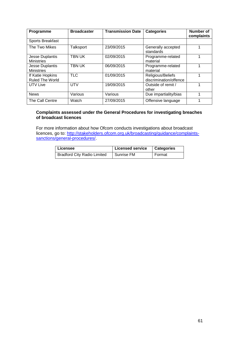| Programme                            | <b>Broadcaster</b> | <b>Transmission Date</b> | <b>Categories</b>                           | <b>Number of</b><br>complaints |
|--------------------------------------|--------------------|--------------------------|---------------------------------------------|--------------------------------|
| Sports Breakfast                     |                    |                          |                                             |                                |
| The Two Mikes                        | Talksport          | 23/09/2015               | Generally accepted<br>standards             |                                |
| Jesse Duplantis<br><b>Ministries</b> | TBN UK             | 02/09/2015               | Programme-related<br>material               |                                |
| Jesse Duplantis<br><b>Ministries</b> | TBN UK             | 06/09/2015               | Programme-related<br>material               | 4                              |
| If Katie Hopkins<br>Ruled The World  | <b>TLC</b>         | 01/09/2015               | Religious/Beliefs<br>discrimination/offence |                                |
| UTV Live                             | <b>UTV</b>         | 19/09/2015               | Outside of remit /<br>other                 |                                |
| <b>News</b>                          | Various            | Various                  | Due impartiality/bias                       | 4                              |
| The Call Centre                      | Watch              | 27/09/2015               | Offensive language                          |                                |

#### **Complaints assessed under the General Procedures for investigating breaches of broadcast licences**

For more information about how Ofcom conducts investigations about broadcast licences, go to: [http://stakeholders.ofcom.org.uk/broadcasting/guidance/complaints](http://stakeholders.ofcom.org.uk/broadcasting/guidance/complaints-sanctions/general-procedures/)[sanctions/general-procedures/.](http://stakeholders.ofcom.org.uk/broadcasting/guidance/complaints-sanctions/general-procedures/)

| Licensee                           | <b>Licensed service</b> | <b>Categories</b> |
|------------------------------------|-------------------------|-------------------|
| <b>Bradford City Radio Limited</b> | Sunrise FM              | Format            |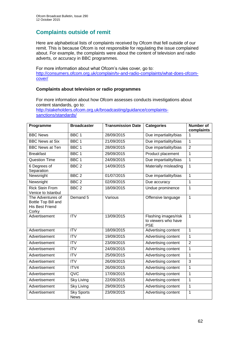# **Complaints outside of remit**

Here are alphabetical lists of complaints received by Ofcom that fell outside of our remit. This is because Ofcom is not responsible for regulating the issue complained about. For example, the complaints were about the content of television and radio adverts, or accuracy in BBC programmes.

For more information about what Ofcom's rules cover, go to: [http://consumers.ofcom.org.uk/complain/tv-and-radio-complaints/what-does-ofcom](http://consumers.ofcom.org.uk/complain/tv-and-radio-complaints/what-does-ofcom-cover/)[cover/](http://consumers.ofcom.org.uk/complain/tv-and-radio-complaints/what-does-ofcom-cover/)

# **Complaints about television or radio programmes**

For more information about how Ofcom assesses conducts investigations about content standards, go to: [http://stakeholders.ofcom.org.uk/broadcasting/guidance/complaints](http://stakeholders.ofcom.org.uk/broadcasting/guidance/complaints-sanctions/standards/)[sanctions/standards/](http://stakeholders.ofcom.org.uk/broadcasting/guidance/complaints-sanctions/standards/)

| Programme                                                                   | <b>Broadcaster</b>               | <b>Transmission Date</b> | <b>Categories</b>                                         | <b>Number of</b><br>complaints |
|-----------------------------------------------------------------------------|----------------------------------|--------------------------|-----------------------------------------------------------|--------------------------------|
| <b>BBC News</b>                                                             | BBC <sub>1</sub>                 | 28/09/2015               | Due impartiality/bias                                     | 1                              |
| <b>BBC News at Six</b>                                                      | BBC <sub>1</sub>                 | 21/09/2015               | Due impartiality/bias                                     | $\overline{1}$                 |
| <b>BBC News at Ten</b>                                                      | BBC <sub>1</sub>                 | 28/09/2015               | Due impartiality/bias                                     | $\overline{2}$                 |
| <b>Breakfast</b>                                                            | BBC <sub>1</sub>                 | 29/09/2015               | Product placement                                         | $\mathbf{1}$                   |
| <b>Question Time</b>                                                        | BBC 1                            | 24/09/2015               | Due impartiality/bias                                     | $\mathbf{1}$                   |
| 6 Degrees of<br>Separation                                                  | BBC <sub>2</sub>                 | 14/09/2015               | Materially misleading                                     | $\mathbf{1}$                   |
| Newsnight                                                                   | BBC <sub>2</sub>                 | 01/07/2015               | Due impartiality/bias                                     | $\mathbf{1}$                   |
| Newsnight                                                                   | BBC <sub>2</sub>                 | 02/09/2015               | Due accuracy                                              | $\mathbf 1$                    |
| <b>Rick Stein From</b><br>Venice to Istanbul                                | BBC <sub>2</sub>                 | 18/09/2015               | Undue prominence                                          | $\mathbf{1}$                   |
| The Adventures of<br>Bottle Top Bill and<br><b>His Best Friend</b><br>Corky | Demand 5                         | Various                  | Offensive language                                        | $\mathbf{1}$                   |
| Advertisement                                                               | <b>ITV</b>                       | 13/09/2015               | Flashing images/risk<br>to viewers who have<br><b>PSE</b> | $\mathbf{1}$                   |
| Advertisement                                                               | $\overline{\text{IV}}$           | 18/09/2015               | Advertising content                                       | $\mathbf{1}$                   |
| Advertisement                                                               | $\overline{IV}$                  | 19/09/2015               | Advertising content                                       | $\mathbf{1}$                   |
| Advertisement                                                               | <b>ITV</b>                       | 23/09/2015               | Advertising content                                       | $\overline{2}$                 |
| Advertisement                                                               | $\overline{IV}$                  | 24/09/2015               | Advertising content                                       | $\mathbf{1}$                   |
| Advertisement                                                               | $\overline{IV}$                  | 25/09/2015               | Advertising content                                       | $\mathbf{1}$                   |
| Advertisement                                                               | <b>ITV</b>                       | 26/09/2015               | Advertising content                                       | 3                              |
| Advertisement                                                               | ITV4                             | 26/09/2015               | Advertising content                                       | $\mathbf{1}$                   |
| Advertisement                                                               | QVC                              | 17/09/2015               | Advertising content                                       | $\mathbf{1}$                   |
| Advertisement                                                               | <b>Sky Living</b>                | 22/09/2015               | Advertising content                                       | $\overline{1}$                 |
| Advertisement                                                               | <b>Sky Living</b>                | 29/09/2015               | Advertising content                                       | $\mathbf{1}$                   |
| Advertisement                                                               | <b>Sky Sports</b><br><b>News</b> | 23/09/2015               | Advertising content                                       | $\mathbf{1}$                   |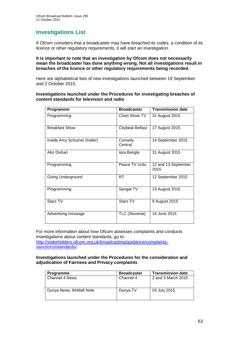# **Investigations List**

If Ofcom considers that a broadcaster may have breached its codes, a condition of its licence or other regulatory requirements, it will start an investigation.

#### **It is important to note that an investigation by Ofcom does not necessarily mean the broadcaster has done anything wrong. Not all investigations result in breaches of the licence or other regulatory requirements being recorded.**

Here are alphabetical lists of new investigations launched between 19 September and 2 October 2015.

#### **Investigations launched under the Procedures for investigating breaches of content standards for television and radio**

| Programme                    | <b>Broadcaster</b>      | <b>Transmission date</b>    |
|------------------------------|-------------------------|-----------------------------|
| Programming                  | <b>Chart Show TV</b>    | 31 August 2015              |
| <b>Breakfast Show</b>        | <b>Citybeat Belfast</b> | 17 August 2015              |
| Inside Amy Schumer (trailer) | Comedy<br>Central       | 14 September 2015           |
| Alor Dishari                 | Iqra Bangla             | 31 August 2015              |
| Programming                  | Peace TV Urdu           | 12 and 13 September<br>2015 |
| Going Underground            | RT.                     | 12 September 2015           |
| Programming                  | Sangat TV               | 13 August 2015              |
| Starz TV                     | Starz TV                | 9 August 2015               |
| Advertising minutage         | TLC (Slovenia)          | 14 June 2015                |

For more information about how Ofcom assesses complaints and conducts investigations about content standards, go to: [http://stakeholders.ofcom.org.uk/broadcasting/guidance/complaints](http://stakeholders.ofcom.org.uk/broadcasting/guidance/complaints-sanctions/standards/)[sanctions/standards/.](http://stakeholders.ofcom.org.uk/broadcasting/guidance/complaints-sanctions/standards/)

#### **Investigations launched under the Procedures for the consideration and adjudication of Fairness and Privacy complaints**

| <b>Programme</b>           | <b>Broadcaster</b> | <b>Transmission date</b> |
|----------------------------|--------------------|--------------------------|
| l Channel 4 News           | Channel 4          | 2 and 3 March 2015       |
| Dunya News, Ikhtilafi Note | Dunya TV           | 03 July 2015             |